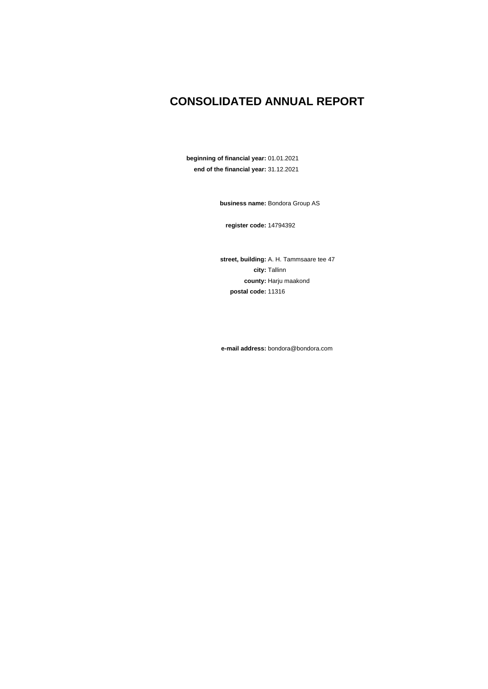## **CONSOLIDATED ANNUAL REPORT**

**beginning of financial year:** 01.01.2021 **end of the financial year:** 31.12.2021

**business name:** Bondora Group AS

**register code:** 14794392

**street, building:** A. H. Tammsaare tee 47 **city:** Tallinn **county:** Harju maakond **postal code:** 11316

**e-mail address:** bondora@bondora.com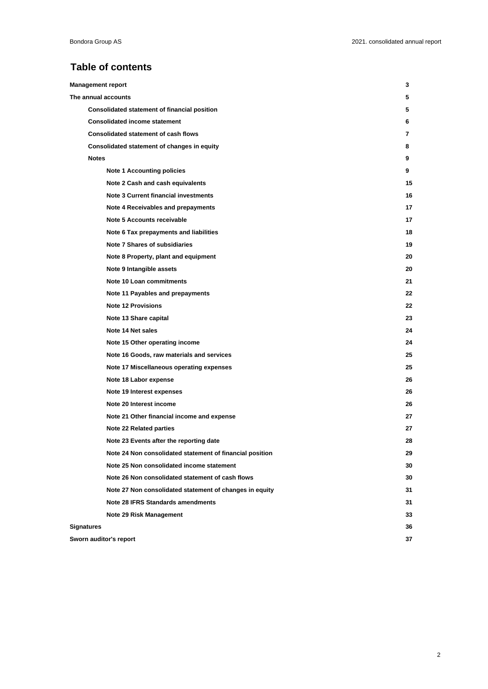### **Table of contents**

| <b>Management report</b>                                 | 3  |
|----------------------------------------------------------|----|
| The annual accounts                                      | 5  |
| <b>Consolidated statement of financial position</b>      | 5  |
| <b>Consolidated income statement</b>                     | 6  |
| <b>Consolidated statement of cash flows</b>              | 7  |
| Consolidated statement of changes in equity              | 8  |
| <b>Notes</b>                                             | 9  |
| <b>Note 1 Accounting policies</b>                        | 9  |
| Note 2 Cash and cash equivalents                         | 15 |
| <b>Note 3 Current financial investments</b>              | 16 |
| Note 4 Receivables and prepayments                       | 17 |
| Note 5 Accounts receivable                               | 17 |
| Note 6 Tax prepayments and liabilities                   | 18 |
| Note 7 Shares of subsidiaries                            | 19 |
| Note 8 Property, plant and equipment                     | 20 |
| Note 9 Intangible assets                                 | 20 |
| Note 10 Loan commitments                                 | 21 |
| Note 11 Payables and prepayments                         | 22 |
| <b>Note 12 Provisions</b>                                | 22 |
| Note 13 Share capital                                    | 23 |
| Note 14 Net sales                                        | 24 |
| Note 15 Other operating income                           | 24 |
| Note 16 Goods, raw materials and services                | 25 |
| Note 17 Miscellaneous operating expenses                 | 25 |
| Note 18 Labor expense                                    | 26 |
| Note 19 Interest expenses                                | 26 |
| Note 20 Interest income                                  | 26 |
| Note 21 Other financial income and expense               | 27 |
| <b>Note 22 Related parties</b>                           | 27 |
| Note 23 Events after the reporting date                  | 28 |
| Note 24 Non consolidated statement of financial position | 29 |
| Note 25 Non consolidated income statement                | 30 |
| Note 26 Non consolidated statement of cash flows         | 30 |
| Note 27 Non consolidated statement of changes in equity  | 31 |
| Note 28 IFRS Standards amendments                        | 31 |
| Note 29 Risk Management                                  | 33 |
| <b>Signatures</b>                                        | 36 |
| Sworn auditor's report                                   | 37 |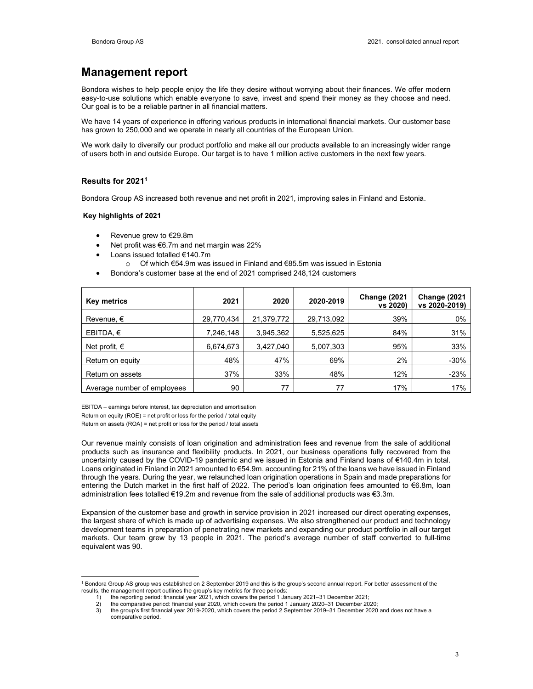### Management report

Bondora wishes to help people enjoy the life they desire without worrying about their finances. We offer modern easy-to-use solutions which enable everyone to save, invest and spend their money as they choose and need. Our goal is to be a reliable partner in all financial matters.

We have 14 years of experience in offering various products in international financial markets. Our customer base has grown to 250,000 and we operate in nearly all countries of the European Union.

We work daily to diversify our product portfolio and make all our products available to an increasingly wider range of users both in and outside Europe. Our target is to have 1 million active customers in the next few years.

### Results for 2021<sup>1</sup>

Bondora Group AS increased both revenue and net profit in 2021, improving sales in Finland and Estonia.

### Key highlights of 2021

- Revenue grew to €29.8m
- Net profit was €6.7m and net margin was 22%
- Loans issued totalled €140.7m
	- o Of which €54.9m was issued in Finland and €85.5m was issued in Estonia
- Bondora's customer base at the end of 2021 comprised 248,124 customers

| <b>Key metrics</b>          | 2021       | 2020       | 2020-2019  | Change (2021<br>vs 2020) | Change (2021<br>vs 2020-2019) |
|-----------------------------|------------|------------|------------|--------------------------|-------------------------------|
| Revenue, $\epsilon$         | 29,770,434 | 21,379,772 | 29,713,092 | 39%                      | 0%                            |
| EBITDA, $\epsilon$          | 7,246,148  | 3,945,362  | 5,525,625  | 84%                      | 31%                           |
| Net profit, $\epsilon$      | 6,674,673  | 3,427,040  | 5,007,303  | 95%                      | 33%                           |
| Return on equity            | 48%        | 47%        | 69%        | 2%                       | $-30%$                        |
| Return on assets            | 37%        | 33%        | 48%        | 12%                      | $-23%$                        |
| Average number of employees | 90         | 77         | 77         | 17%                      | 17%                           |

EBITDA – earnings before interest, tax depreciation and amortisation Return on equity (ROE) = net profit or loss for the period / total equity Return on assets (ROA) = net profit or loss for the period / total assets

Our revenue mainly consists of loan origination and administration fees and revenue from the sale of additional products such as insurance and flexibility products. In 2021, our business operations fully recovered from the uncertainty caused by the COVID-19 pandemic and we issued in Estonia and Finland loans of €140.4m in total. Loans originated in Finland in 2021 amounted to €54.9m, accounting for 21% of the loans we have issued in Finland through the years. During the year, we relaunched loan origination operations in Spain and made preparations for entering the Dutch market in the first half of 2022. The period's loan origination fees amounted to €6.8m, loan administration fees totalled €19.2m and revenue from the sale of additional products was €3.3m.

Expansion of the customer base and growth in service provision in 2021 increased our direct operating expenses, the largest share of which is made up of advertising expenses. We also strengthened our product and technology development teams in preparation of penetrating new markets and expanding our product portfolio in all our target markets. Our team grew by 13 people in 2021. The period's average number of staff converted to full-time equivalent was 90.

<sup>1</sup> Bondora Group AS group was established on 2 September 2019 and this is the group's second annual report. For better assessment of the results, the management report outlines the group's key metrics for three periods:<br>1) the reporting period: financial year 2021, which covers the period 1 Ja

<sup>1)</sup> the reporting period: financial year 2021, which covers the period 1 January 2021–31 December 2021;<br>2) the comparative period: financial year 2020, which covers the period 1 January 2020–31 December 20

<sup>2)</sup> the comparative period: financial year 2020, which covers the period 1 January 2020–31 December 2020;

the group's first financial year 2019-2020, which covers the period 2 September 2019-31 December 2020 and does not have a comparative period.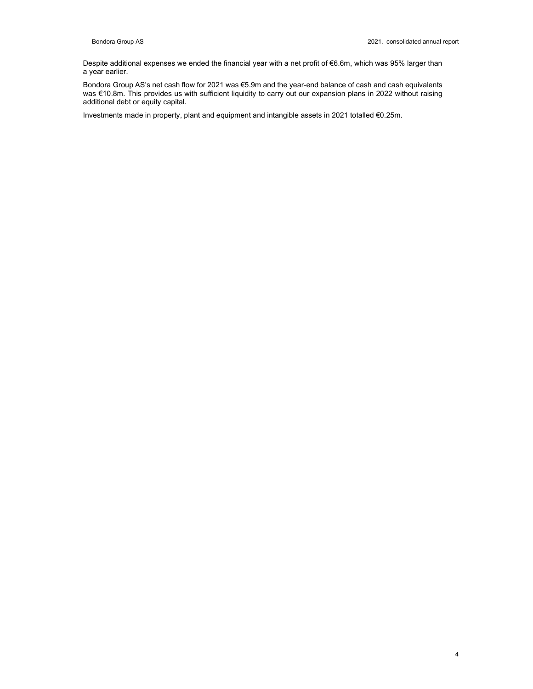Despite additional expenses we ended the financial year with a net profit of €6.6m, which was 95% larger than a year earlier.

Bondora Group AS's net cash flow for 2021 was €5.9m and the year-end balance of cash and cash equivalents was €10.8m. This provides us with sufficient liquidity to carry out our expansion plans in 2022 without raising additional debt or equity capital.

Investments made in property, plant and equipment and intangible assets in 2021 totalled €0.25m.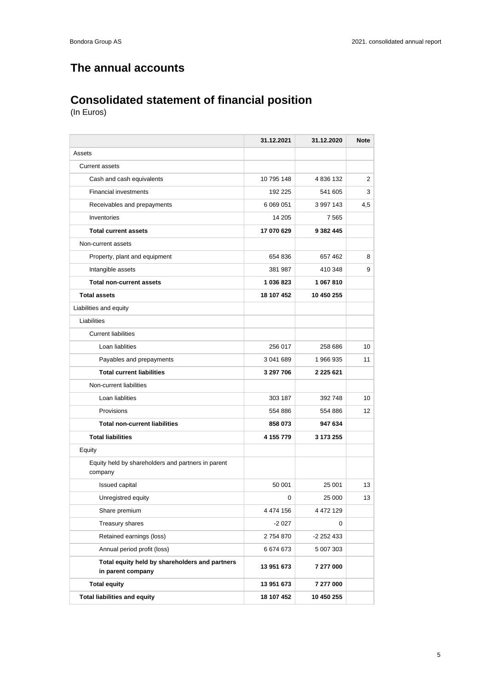## **The annual accounts**

## **Consolidated statement of financial position**

|                                                                     | 31.12.2021 | 31.12.2020 | <b>Note</b> |
|---------------------------------------------------------------------|------------|------------|-------------|
| Assets                                                              |            |            |             |
| <b>Current assets</b>                                               |            |            |             |
| Cash and cash equivalents                                           | 10 795 148 | 4 836 132  | 2           |
| <b>Financial investments</b>                                        | 192 225    | 541 605    | 3           |
| Receivables and prepayments                                         | 6 069 051  | 3 997 143  | 4,5         |
| Inventories                                                         | 14 205     | 7 5 6 5    |             |
| <b>Total current assets</b>                                         | 17 070 629 | 9 382 445  |             |
| Non-current assets                                                  |            |            |             |
| Property, plant and equipment                                       | 654 836    | 657 462    | 8           |
| Intangible assets                                                   | 381 987    | 410 348    | 9           |
| <b>Total non-current assets</b>                                     | 1 036 823  | 1 067 810  |             |
| <b>Total assets</b>                                                 | 18 107 452 | 10 450 255 |             |
| Liabilities and equity                                              |            |            |             |
| Liabilities                                                         |            |            |             |
| <b>Current liabilities</b>                                          |            |            |             |
| Loan liablities                                                     | 256 017    | 258 686    | 10          |
| Payables and prepayments                                            | 3 041 689  | 1966935    | 11          |
| <b>Total current liabilities</b>                                    | 3 297 706  | 2 225 621  |             |
| Non-current liabilities                                             |            |            |             |
| Loan liablities                                                     | 303 187    | 392 748    | 10          |
| Provisions                                                          | 554 886    | 554 886    | 12          |
| <b>Total non-current liabilities</b>                                | 858 073    | 947 634    |             |
| <b>Total liabilities</b>                                            | 4 155 779  | 3 173 255  |             |
| Equity                                                              |            |            |             |
| Equity held by shareholders and partners in parent<br>company       |            |            |             |
| Issued capital                                                      | 50 001     | 25 001     | 13          |
| Unregistred equity                                                  | 0          | 25 000     | 13          |
| Share premium                                                       | 4 474 156  | 4 472 129  |             |
| Treasury shares                                                     | $-2027$    | 0          |             |
| Retained earnings (loss)                                            | 2754870    | -2 252 433 |             |
| Annual period profit (loss)                                         | 6 674 673  | 5 007 303  |             |
| Total equity held by shareholders and partners<br>in parent company | 13 951 673 | 7 277 000  |             |
| <b>Total equity</b>                                                 | 13 951 673 | 7 277 000  |             |
| <b>Total liabilities and equity</b>                                 | 18 107 452 | 10 450 255 |             |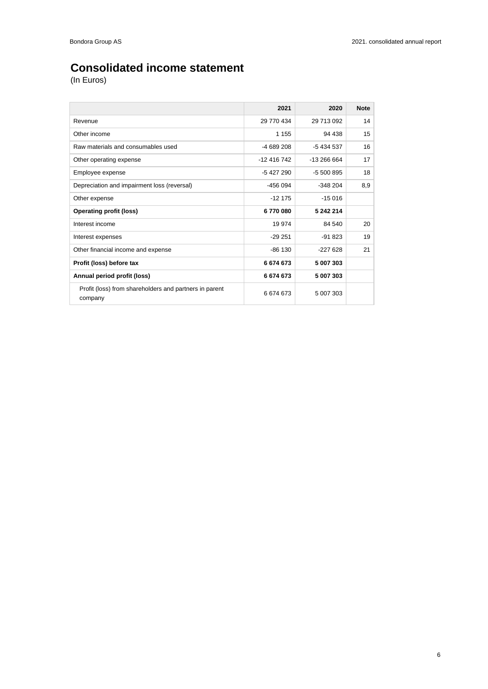## **Consolidated income statement**

|                                                                   | 2021        | 2020        | <b>Note</b> |
|-------------------------------------------------------------------|-------------|-------------|-------------|
| Revenue                                                           | 29 770 434  | 29 713 092  | 14          |
| Other income                                                      | 1 1 5 5     | 94 438      | 15          |
| Raw materials and consumables used                                | -4 689 208  | -5 434 537  | 16          |
| Other operating expense                                           | -12 416 742 | -13 266 664 | 17          |
| Employee expense                                                  | $-5427290$  | -5 500 895  | 18          |
| Depreciation and impairment loss (reversal)                       | $-456094$   | $-348204$   | 8,9         |
| Other expense                                                     | $-12175$    | $-15016$    |             |
| <b>Operating profit (loss)</b>                                    | 6770080     | 5 242 214   |             |
| Interest income                                                   | 19 974      | 84 540      | 20          |
| Interest expenses                                                 | $-29251$    | $-91823$    | 19          |
| Other financial income and expense                                | $-86130$    | $-227628$   | 21          |
| Profit (loss) before tax                                          | 6674673     | 5 007 303   |             |
| Annual period profit (loss)                                       | 6674673     | 5 007 303   |             |
| Profit (loss) from shareholders and partners in parent<br>company | 6674673     | 5 007 303   |             |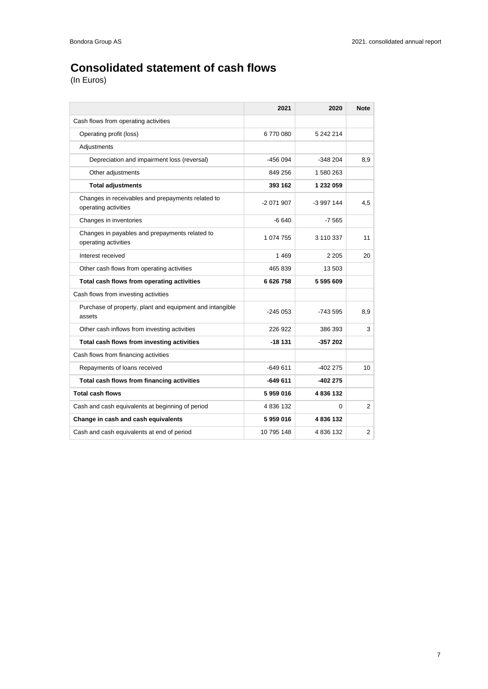## **Consolidated statement of cash flows**

|                                                                           | 2021       | 2020       | <b>Note</b>    |
|---------------------------------------------------------------------------|------------|------------|----------------|
| Cash flows from operating activities                                      |            |            |                |
| Operating profit (loss)                                                   | 6770080    | 5 242 214  |                |
| Adjustments                                                               |            |            |                |
| Depreciation and impairment loss (reversal)                               | $-456094$  | $-348204$  | 8,9            |
| Other adjustments                                                         | 849 256    | 1 580 263  |                |
| <b>Total adjustments</b>                                                  | 393 162    | 1 232 059  |                |
| Changes in receivables and prepayments related to<br>operating activities | -2 071 907 | -3 997 144 | 4,5            |
| Changes in inventories                                                    | $-6640$    | -7 565     |                |
| Changes in payables and prepayments related to<br>operating activities    | 1 074 755  | 3 110 337  | 11             |
| Interest received                                                         | 1469       | 2 2 0 5    | 20             |
| Other cash flows from operating activities                                | 465 839    | 13 503     |                |
| Total cash flows from operating activities                                | 6 626 758  | 5 595 609  |                |
| Cash flows from investing activities                                      |            |            |                |
| Purchase of property, plant and equipment and intangible<br>assets        | $-245053$  | -743 595   | 8,9            |
| Other cash inflows from investing activities                              | 226 922    | 386 393    | 3              |
| Total cash flows from investing activities                                | -18 131    | $-357202$  |                |
| Cash flows from financing activities                                      |            |            |                |
| Repayments of loans received                                              | $-649611$  | $-402275$  | 10             |
| Total cash flows from financing activities                                | -649 611   | $-402275$  |                |
| <b>Total cash flows</b>                                                   | 5959016    | 4836132    |                |
| Cash and cash equivalents at beginning of period                          | 4 836 132  | $\Omega$   | $\overline{2}$ |
| Change in cash and cash equivalents                                       | 5959016    | 4836132    |                |
| Cash and cash equivalents at end of period                                | 10 795 148 | 4 836 132  | $\overline{2}$ |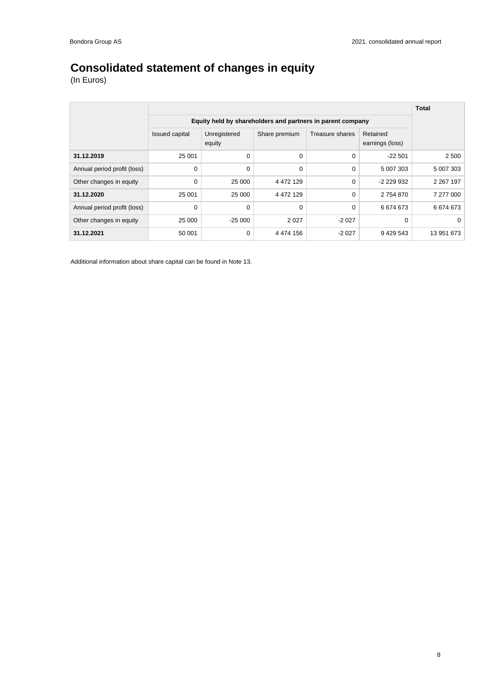## **Consolidated statement of changes in equity**

(In Euros)

|                             |                                                            |                        |               |                 |                             | <b>Total</b>  |
|-----------------------------|------------------------------------------------------------|------------------------|---------------|-----------------|-----------------------------|---------------|
|                             | Equity held by shareholders and partners in parent company |                        |               |                 |                             |               |
|                             | Issued capital                                             | Unregistered<br>equity | Share premium | Treasure shares | Retained<br>earnings (loss) |               |
| 31.12.2019                  | 25 001                                                     | 0                      | 0             | 0               | $-22501$                    | 2 500         |
| Annual period profit (loss) | 0                                                          | 0                      | 0             | 0               | 5 007 303                   | 5 007 303     |
| Other changes in equity     | 0                                                          | 25 000                 | 4 4 7 2 1 2 9 | 0               | -2 229 932                  | 2 2 6 7 1 9 7 |
| 31.12.2020                  | 25 001                                                     | 25 000                 | 4 4 7 2 1 2 9 | 0               | 2754870                     | 7 277 000     |
| Annual period profit (loss) | 0                                                          | 0                      | 0             | 0               | 6674673                     | 6674673       |
| Other changes in equity     | 25 000                                                     | $-25000$               | 2 0 2 7       | $-2027$         | 0                           | 0             |
| 31.12.2021                  | 50 001                                                     | 0                      | 4 4 7 4 1 5 6 | $-2027$         | 9 429 543                   | 13 951 673    |

Additional information about share capital can be found in Note 13.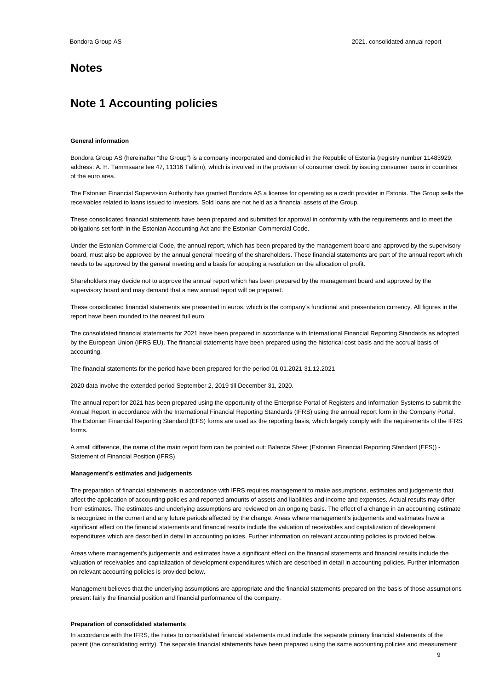### **Notes**

### **Note 1 Accounting policies**

### **General information**

Bondora Group AS (hereinafter "the Group") is a company incorporated and domiciled in the Republic of Estonia (registry number 11483929, address: A. H. Tammsaare tee 47, 11316 Tallinn), which is involved in the provision of consumer credit by issuing consumer loans in countries of the euro area.

The Estonian Financial Supervision Authority has granted Bondora AS a license for operating as a credit provider in Estonia. The Group sells the receivables related to loans issued to investors. Sold loans are not held as a financial assets of the Group.

These consolidated financial statements have been prepared and submitted for approval in conformity with the requirements and to meet the obligations set forth in the Estonian Accounting Act and the Estonian Commercial Code.

Under the Estonian Commercial Code, the annual report, which has been prepared by the management board and approved by the supervisory board, must also be approved by the annual general meeting of the shareholders. These financial statements are part of the annual report which needs to be approved by the general meeting and a basis for adopting a resolution on the allocation of profit.

Shareholders may decide not to approve the annual report which has been prepared by the management board and approved by the supervisory board and may demand that a new annual report will be prepared.

These consolidated financial statements are presented in euros, which is the company's functional and presentation currency. All figures in the report have been rounded to the nearest full euro.

The consolidated financial statements for 2021 have been prepared in accordance with International Financial Reporting Standards as adopted by the European Union (IFRS EU). The financial statements have been prepared using the historical cost basis and the accrual basis of accounting.

The financial statements for the period have been prepared for the period 01.01.2021-31.12.2021

2020 data involve the extended period September 2, 2019 till December 31, 2020.

The annual report for 2021 has been prepared using the opportunity of the Enterprise Portal of Registers and Information Systems to submit the Annual Report in accordance with the International Financial Reporting Standards (IFRS) using the annual report form in the Company Portal. The Estonian Financial Reporting Standard (EFS) forms are used as the reporting basis, which largely comply with the requirements of the IFRS forms.

A small difference, the name of the main report form can be pointed out: Balance Sheet (Estonian Financial Reporting Standard (EFS)) - Statement of Financial Position (IFRS).

### **Management's estimates and judgements**

The preparation of financial statements in accordance with IFRS requires management to make assumptions, estimates and judgements that affect the application of accounting policies and reported amounts of assets and liabilities and income and expenses. Actual results may differ from estimates. The estimates and underlying assumptions are reviewed on an ongoing basis. The effect of a change in an accounting estimate is recognized in the current and any future periods affected by the change. Areas where management's judgements and estimates have a significant effect on the financial statements and financial results include the valuation of receivables and capitalization of development expenditures which are described in detail in accounting policies. Further information on relevant accounting policies is provided below.

Areas where management's judgements and estimates have a significant effect on the financial statements and financial results include the valuation of receivables and capitalization of development expenditures which are described in detail in accounting policies. Further information on relevant accounting policies is provided below.

Management believes that the underlying assumptions are appropriate and the financial statements prepared on the basis of those assumptions present fairly the financial position and financial performance of the company.

### **Preparation of consolidated statements**

In accordance with the IFRS, the notes to consolidated financial statements must include the separate primary financial statements of the parent (the consolidating entity). The separate financial statements have been prepared using the same accounting policies and measurement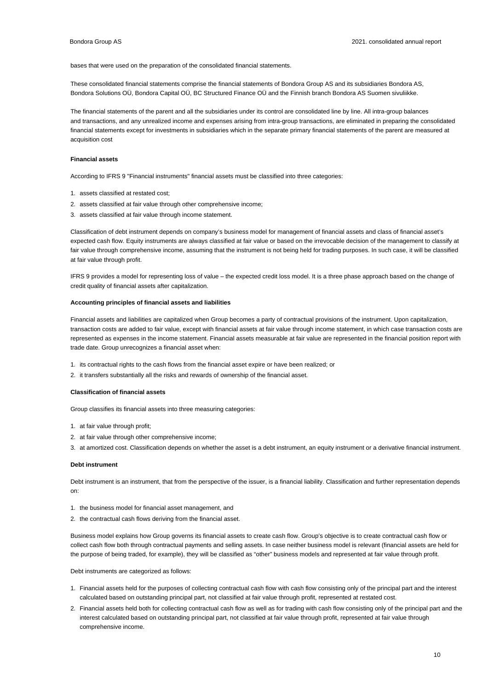bases that were used on the preparation of the consolidated financial statements.

These consolidated financial statements comprise the financial statements of Bondora Group AS and its subsidiaries Bondora AS, Bondora Solutions OÜ, Bondora Capital OÜ, BC Structured Finance OÜ and the Finnish branch Bondora AS Suomen sivuliikke.

The financial statements of the parent and all the subsidiaries under its control are consolidated line by line. All intra-group balances and transactions, and any unrealized income and expenses arising from intra-group transactions, are eliminated in preparing the consolidated financial statements except for investments in subsidiaries which in the separate primary financial statements of the parent are measured at acquisition cost

### **Financial assets**

According to IFRS 9 "Financial instruments" financial assets must be classified into three categories:

- 1. assets classified at restated cost;
- 2. assets classified at fair value through other comprehensive income;
- 3. assets classified at fair value through income statement.

Classification of debt instrument depends on company's business model for management of financial assets and class of financial asset's expected cash flow. Equity instruments are always classified at fair value or based on the irrevocable decision of the management to classify at fair value through comprehensive income, assuming that the instrument is not being held for trading purposes. In such case, it will be classified at fair value through profit.

IFRS 9 provides a model for representing loss of value – the expected credit loss model. It is a three phase approach based on the change of credit quality of financial assets after capitalization.

### **Accounting principles of financial assets and liabilities**

Financial assets and liabilities are capitalized when Group becomes a party of contractual provisions of the instrument. Upon capitalization, transaction costs are added to fair value, except with financial assets at fair value through income statement, in which case transaction costs are represented as expenses in the income statement. Financial assets measurable at fair value are represented in the financial position report with trade date. Group unrecognizes a financial asset when:

- 1. its contractual rights to the cash flows from the financial asset expire or have been realized; or
- 2. it transfers substantially all the risks and rewards of ownership of the financial asset.

### **Classification of financial assets**

Group classifies its financial assets into three measuring categories:

- 1. at fair value through profit;
- 2. at fair value through other comprehensive income;
- 3. at amortized cost. Classification depends on whether the asset is a debt instrument, an equity instrument or a derivative financial instrument.

### **Debt instrument**

Debt instrument is an instrument, that from the perspective of the issuer, is a financial liability. Classification and further representation depends on:

- 1. the business model for financial asset management, and
- 2. the contractual cash flows deriving from the financial asset.

Business model explains how Group governs its financial assets to create cash flow. Group's objective is to create contractual cash flow or collect cash flow both through contractual payments and selling assets. In case neither business model is relevant (financial assets are held for the purpose of being traded, for example), they will be classified as "other" business models and represented at fair value through profit.

Debt instruments are categorized as follows:

- 1. Financial assets held for the purposes of collecting contractual cash flow with cash flow consisting only of the principal part and the interest calculated based on outstanding principal part, not classified at fair value through profit, represented at restated cost.
- 2. Financial assets held both for collecting contractual cash flow as well as for trading with cash flow consisting only of the principal part and the interest calculated based on outstanding principal part, not classified at fair value through profit, represented at fair value through comprehensive income.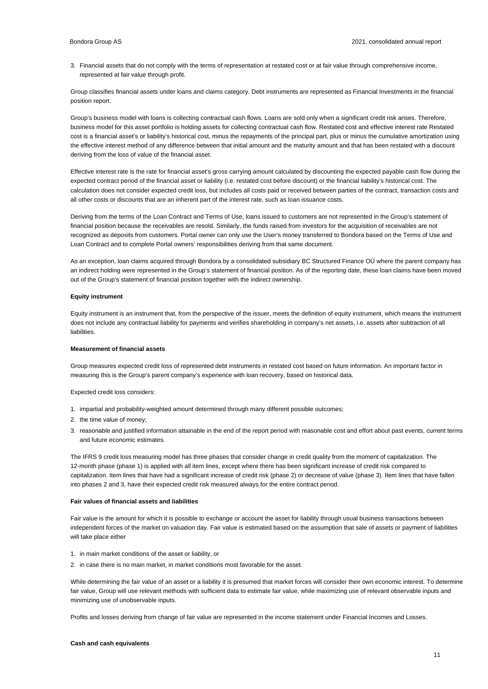3. Financial assets that do not comply with the terms of representation at restated cost or at fair value through comprehensive income, represented at fair value through profit.

Group classifies financial assets under loans and claims category. Debt instruments are represented as Financial Investments in the financial position report.

Group's business model with loans is collecting contractual cash flows. Loans are sold only when a significant credit risk arises. Therefore, business model for this asset portfolio is holding assets for collecting contractual cash flow. Restated cost and effective interest rate Restated cost is a financial asset's or liability's historical cost, minus the repayments of the principal part, plus or minus the cumulative amortization using the effective interest method of any difference between that initial amount and the maturity amount and that has been restated with a discount deriving from the loss of value of the financial asset.

Effective interest rate is the rate for financial asset's gross carrying amount calculated by discounting the expected payable cash flow during the expected contract period of the financial asset or liability (i.e. restated cost before discount) or the financial liability's historical cost. The calculation does not consider expected credit loss, but includes all costs paid or received between parties of the contract, transaction costs and all other costs or discounts that are an inherent part of the interest rate, such as loan issuance costs.

Deriving from the terms of the Loan Contract and Terms of Use, loans issued to customers are not represented in the Group's statement of financial position because the receivables are resold. Similarly, the funds raised from investors for the acquisition of receivables are not recognized as deposits from customers. Portal owner can only use the User's money transferred to Bondora based on the Terms of Use and Loan Contract and to complete Portal owners' responsibilities deriving from that same document.

As an exception, loan claims acquired through Bondora by a consolidated subsidiary BC Structured Finance OÜ where the parent company has an indirect holding were represented in the Group's statement of financial position. As of the reporting date, these loan claims have been moved out of the Group's statement of financial position together with the indirect ownership.

### **Equity instrument**

Equity instrument is an instrument that, from the perspective of the issuer, meets the definition of equity instrument, which means the instrument does not include any contractual liability for payments and verifies shareholding in company's net assets, i.e. assets after subtraction of all liabilities.

### **Measurement of financial assets**

Group measures expected credit loss of represented debt instruments in restated cost based on future information. An important factor in measuring this is the Group's parent company's experience with loan recovery, based on historical data.

Expected credit loss considers:

- 1. impartial and probability-weighted amount determined through many different possible outcomes;
- 2. the time value of money;
- 3. reasonable and justified information attainable in the end of the report period with reasonable cost and effort about past events, current terms and future economic estimates.

The IFRS 9 credit loss measuring model has three phases that consider change in credit quality from the moment of capitalization. The 12-month phase (phase 1) is applied with all item lines, except where there has been significant increase of credit risk compared to capitalization. Item lines that have had a significant increase of credit risk (phase 2) or decrease of value (phase 3). Item lines that have fallen into phases 2 and 3, have their expected credit risk measured always for the entire contract period.

### **Fair values of financial assets and liabilities**

Fair value is the amount for which it is possible to exchange or account the asset for liability through usual business transactions between independent forces of the market on valuation day. Fair value is estimated based on the assumption that sale of assets or payment of liabilities will take place either

- 1. in main market conditions of the asset or liability, or
- 2. in case there is no main market, in market conditions most favorable for the asset.

While determining the fair value of an asset or a liability it is presumed that market forces will consider their own economic interest. To determine fair value, Group will use relevant methods with sufficient data to estimate fair value, while maximizing use of relevant observable inputs and minimizing use of unobservable inputs.

Profits and losses deriving from change of fair value are represented in the income statement under Financial Incomes and Losses.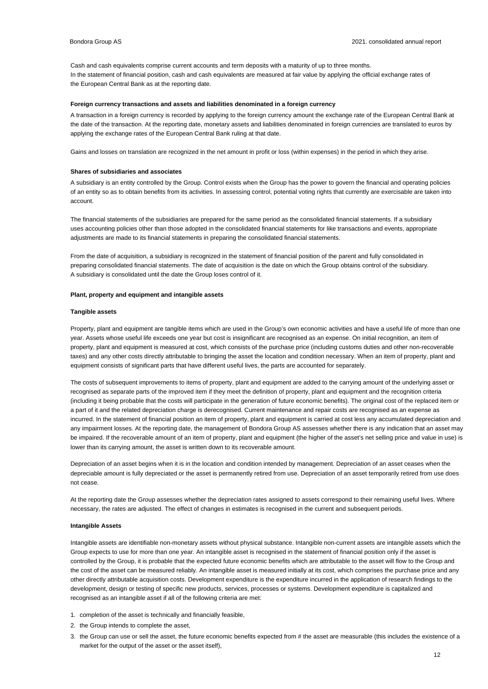Cash and cash equivalents comprise current accounts and term deposits with a maturity of up to three months. In the statement of financial position, cash and cash equivalents are measured at fair value by applying the official exchange rates of the European Central Bank as at the reporting date.

#### **Foreign currency transactions and assets and liabilities denominated in a foreign currency**

A transaction in a foreign currency is recorded by applying to the foreign currency amount the exchange rate of the European Central Bank at the date of the transaction. At the reporting date, monetary assets and liabilities denominated in foreign currencies are translated to euros by applying the exchange rates of the European Central Bank ruling at that date.

Gains and losses on translation are recognized in the net amount in profit or loss (within expenses) in the period in which they arise.

#### **Shares of subsidiaries and associates**

A subsidiary is an entity controlled by the Group. Control exists when the Group has the power to govern the financial and operating policies of an entity so as to obtain benefits from its activities. In assessing control, potential voting rights that currently are exercisable are taken into account.

The financial statements of the subsidiaries are prepared for the same period as the consolidated financial statements. If a subsidiary uses accounting policies other than those adopted in the consolidated financial statements for like transactions and events, appropriate adjustments are made to its financial statements in preparing the consolidated financial statements.

From the date of acquisition, a subsidiary is recognized in the statement of financial position of the parent and fully consolidated in preparing consolidated financial statements. The date of acquisition is the date on which the Group obtains control of the subsidiary. A subsidiary is consolidated until the date the Group loses control of it.

### **Plant, property and equipment and intangible assets**

### **Tangible assets**

Property, plant and equipment are tangible items which are used in the Group's own economic activities and have a useful life of more than one year. Assets whose useful life exceeds one year but cost is insignificant are recognised as an expense. On initial recognition, an item of property, plant and equipment is measured at cost, which consists of the purchase price (including customs duties and other non-recoverable taxes) and any other costs directly attributable to bringing the asset the location and condition necessary. When an item of property, plant and equipment consists of significant parts that have different useful lives, the parts are accounted for separately.

The costs of subsequent improvements to items of property, plant and equipment are added to the carrying amount of the underlying asset or recognised as separate parts of the improved item if they meet the definition of property, plant and equipment and the recognition criteria (including it being probable that the costs will participate in the generation of future economic benefits). The original cost of the replaced item or a part of it and the related depreciation charge is derecognised. Current maintenance and repair costs are recognised as an expense as incurred. In the statement of financial position an item of property, plant and equipment is carried at cost less any accumulated depreciation and any impairment losses. At the reporting date, the management of Bondora Group AS assesses whether there is any indication that an asset may be impaired. If the recoverable amount of an item of property, plant and equipment (the higher of the asset's net selling price and value in use) is lower than its carrying amount, the asset is written down to its recoverable amount.

Depreciation of an asset begins when it is in the location and condition intended by management. Depreciation of an asset ceases when the depreciable amount is fully depreciated or the asset is permanently retired from use. Depreciation of an asset temporarily retired from use does not cease.

At the reporting date the Group assesses whether the depreciation rates assigned to assets correspond to their remaining useful lives. Where necessary, the rates are adjusted. The effect of changes in estimates is recognised in the current and subsequent periods.

### **Intangible Assets**

Intangible assets are identifiable non-monetary assets without physical substance. Intangible non-current assets are intangible assets which the Group expects to use for more than one year. An intangible asset is recognised in the statement of financial position only if the asset is controlled by the Group, it is probable that the expected future economic benefits which are attributable to the asset will flow to the Group and the cost of the asset can be measured reliably. An intangible asset is measured initially at its cost, which comprises the purchase price and any other directly attributable acquisition costs. Development expenditure is the expenditure incurred in the application of research findings to the development, design or testing of specific new products, services, processes or systems. Development expenditure is capitalized and recognised as an intangible asset if all of the following criteria are met:

- 1. completion of the asset is technically and financially feasible,
- 2. the Group intends to complete the asset,
- 3. the Group can use or sell the asset, the future economic benefits expected from # the asset are measurable (this includes the existence of a market for the output of the asset or the asset itself),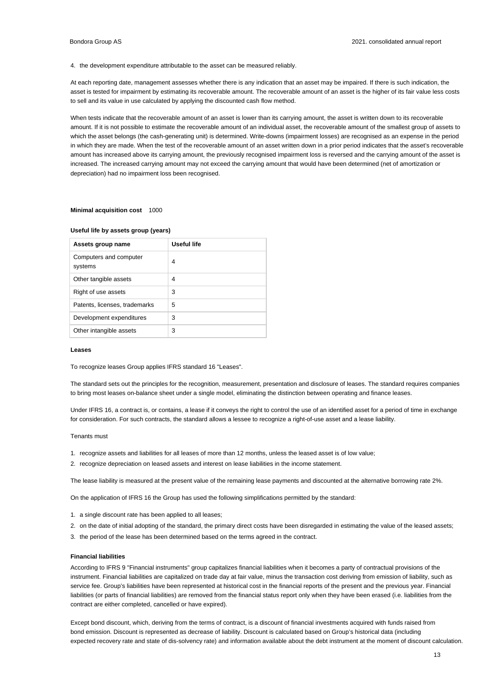4. the development expenditure attributable to the asset can be measured reliably.

At each reporting date, management assesses whether there is any indication that an asset may be impaired. If there is such indication, the asset is tested for impairment by estimating its recoverable amount. The recoverable amount of an asset is the higher of its fair value less costs to sell and its value in use calculated by applying the discounted cash flow method.

When tests indicate that the recoverable amount of an asset is lower than its carrying amount, the asset is written down to its recoverable amount. If it is not possible to estimate the recoverable amount of an individual asset, the recoverable amount of the smallest group of assets to which the asset belongs (the cash-generating unit) is determined. Write-downs (impairment losses) are recognised as an expense in the period in which they are made. When the test of the recoverable amount of an asset written down in a prior period indicates that the asset's recoverable amount has increased above its carrying amount, the previously recognised impairment loss is reversed and the carrying amount of the asset is increased. The increased carrying amount may not exceed the carrying amount that would have been determined (net of amortization or depreciation) had no impairment loss been recognised.

#### **Minimal acquisition cost** 1000

### **Useful life by assets group (years)**

| Assets group name                 | Useful life |
|-----------------------------------|-------------|
| Computers and computer<br>systems | 4           |
| Other tangible assets             | 4           |
| Right of use assets               | 3           |
| Patents, licenses, trademarks     | 5           |
| Development expenditures          | 3           |
| Other intangible assets           | 3           |

#### **Leases**

To recognize leases Group applies IFRS standard 16 "Leases".

The standard sets out the principles for the recognition, measurement, presentation and disclosure of leases. The standard requires companies to bring most leases on-balance sheet under a single model, eliminating the distinction between operating and finance leases.

Under IFRS 16, a contract is, or contains, a lease if it conveys the right to control the use of an identified asset for a period of time in exchange for consideration. For such contracts, the standard allows a lessee to recognize a right-of-use asset and a lease liability.

### Tenants must

- 1. recognize assets and liabilities for all leases of more than 12 months, unless the leased asset is of low value;
- 2. recognize depreciation on leased assets and interest on lease liabilities in the income statement.

The lease liability is measured at the present value of the remaining lease payments and discounted at the alternative borrowing rate 2%.

On the application of IFRS 16 the Group has used the following simplifications permitted by the standard:

- 1. a single discount rate has been applied to all leases;
- 2. on the date of initial adopting of the standard, the primary direct costs have been disregarded in estimating the value of the leased assets;
- 3. the period of the lease has been determined based on the terms agreed in the contract.

### **Financial liabilities**

According to IFRS 9 "Financial instruments" group capitalizes financial liabilities when it becomes a party of contractual provisions of the instrument. Financial liabilities are capitalized on trade day at fair value, minus the transaction cost deriving from emission of liability, such as service fee. Group's liabilities have been represented at historical cost in the financial reports of the present and the previous year. Financial liabilities (or parts of financial liabilities) are removed from the financial status report only when they have been erased (i.e. liabilities from the contract are either completed, cancelled or have expired).

Except bond discount, which, deriving from the terms of contract, is a discount of financial investments acquired with funds raised from bond emission. Discount is represented as decrease of liability. Discount is calculated based on Group's historical data (including expected recovery rate and state of dis-solvency rate) and information available about the debt instrument at the moment of discount calculation.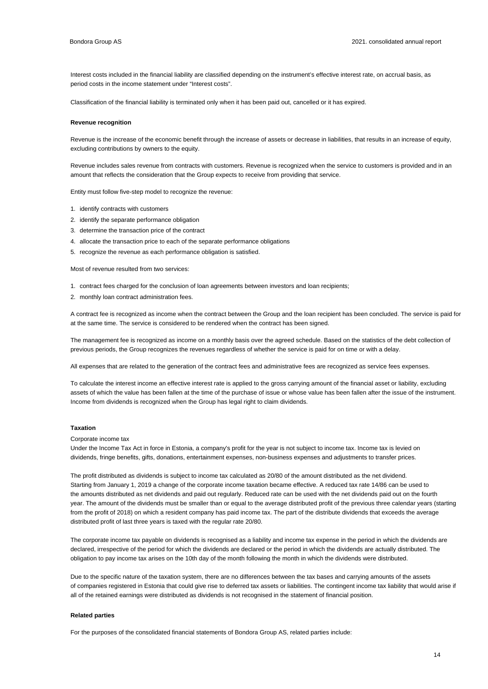Interest costs included in the financial liability are classified depending on the instrument's effective interest rate, on accrual basis, as period costs in the income statement under "Interest costs".

Classification of the financial liability is terminated only when it has been paid out, cancelled or it has expired.

#### **Revenue recognition**

Revenue is the increase of the economic benefit through the increase of assets or decrease in liabilities, that results in an increase of equity, excluding contributions by owners to the equity.

Revenue includes sales revenue from contracts with customers. Revenue is recognized when the service to customers is provided and in an amount that reflects the consideration that the Group expects to receive from providing that service.

Entity must follow five-step model to recognize the revenue:

- 1. identify contracts with customers
- 2. identify the separate performance obligation
- 3. determine the transaction price of the contract
- 4. allocate the transaction price to each of the separate performance obligations
- 5. recognize the revenue as each performance obligation is satisfied.

Most of revenue resulted from two services:

1. contract fees charged for the conclusion of loan agreements between investors and loan recipients;

2. monthly loan contract administration fees.

A contract fee is recognized as income when the contract between the Group and the loan recipient has been concluded. The service is paid for at the same time. The service is considered to be rendered when the contract has been signed.

The management fee is recognized as income on a monthly basis over the agreed schedule. Based on the statistics of the debt collection of previous periods, the Group recognizes the revenues regardless of whether the service is paid for on time or with a delay.

All expenses that are related to the generation of the contract fees and administrative fees are recognized as service fees expenses.

To calculate the interest income an effective interest rate is applied to the gross carrying amount of the financial asset or liability, excluding assets of which the value has been fallen at the time of the purchase of issue or whose value has been fallen after the issue of the instrument. Income from dividends is recognized when the Group has legal right to claim dividends.

### **Taxation**

Corporate income tax

Under the Income Tax Act in force in Estonia, a company's profit for the year is not subject to income tax. Income tax is levied on dividends, fringe benefits, gifts, donations, entertainment expenses, non-business expenses and adjustments to transfer prices.

The profit distributed as dividends is subject to income tax calculated as 20/80 of the amount distributed as the net dividend. Starting from January 1, 2019 a change of the corporate income taxation became effective. A reduced tax rate 14/86 can be used to the amounts distributed as net dividends and paid out regularly. Reduced rate can be used with the net dividends paid out on the fourth year. The amount of the dividends must be smaller than or equal to the average distributed profit of the previous three calendar years (starting from the profit of 2018) on which a resident company has paid income tax. The part of the distribute dividends that exceeds the average distributed profit of last three years is taxed with the regular rate 20/80.

The corporate income tax payable on dividends is recognised as a liability and income tax expense in the period in which the dividends are declared, irrespective of the period for which the dividends are declared or the period in which the dividends are actually distributed. The obligation to pay income tax arises on the 10th day of the month following the month in which the dividends were distributed.

Due to the specific nature of the taxation system, there are no differences between the tax bases and carrying amounts of the assets of companies registered in Estonia that could give rise to deferred tax assets or liabilities. The contingent income tax liability that would arise if all of the retained earnings were distributed as dividends is not recognised in the statement of financial position.

### **Related parties**

For the purposes of the consolidated financial statements of Bondora Group AS, related parties include: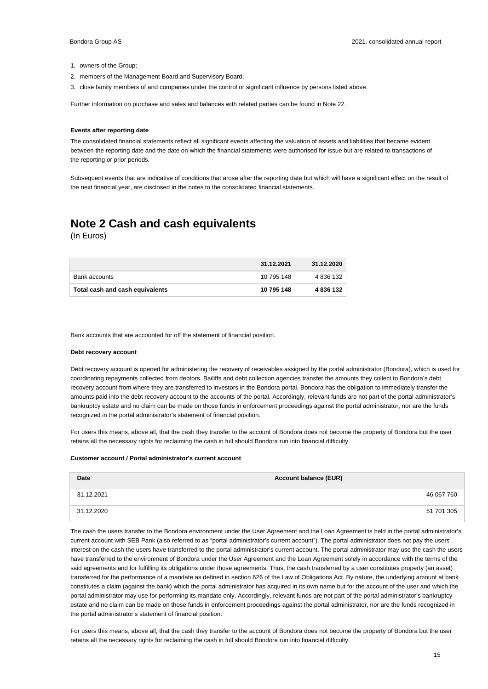- 1. owners of the Group;
- 2. members of the Management Board and Supervisory Board;
- 3. close family members of and companies under the control or significant influence by persons listed above.

Further information on purchase and sales and balances with related parties can be found in Note 22.

#### **Events after reporting date**

The consolidated financial statements reflect all significant events affecting the valuation of assets and liabilities that became evident between the reporting date and the date on which the financial statements were authorised for issue but are related to transactions of the reporting or prior periods.

Subsequent events that are indicative of conditions that arose after the reporting date but which will have a significant effect on the result of the next financial year, are disclosed in the notes to the consolidated financial statements.

### **Note 2 Cash and cash equivalents**

(In Euros)

|                                 | 31.12.2021 | 31.12.2020 |
|---------------------------------|------------|------------|
| <b>Bank accounts</b>            | 10 795 148 | 4 836 132  |
| Total cash and cash equivalents | 10 795 148 | 4 836 132  |

Bank accounts that are accounted for off the statement of financial position.

#### **Debt recovery account**

Debt recovery account is opened for administering the recovery of receivables assigned by the portal administrator (Bondora), which is used for coordinating repayments collected from debtors. Bailiffs and debt collection agencies transfer the amounts they collect to Bondora's debt recovery account from where they are transferred to investors in the Bondora portal. Bondora has the obligation to immediately transfer the amounts paid into the debt recovery account to the accounts of the portal. Accordingly, relevant funds are not part of the portal administrator's bankruptcy estate and no claim can be made on those funds in enforcement proceedings against the portal administrator, nor are the funds recognized in the portal administrator's statement of financial position.

For users this means, above all, that the cash they transfer to the account of Bondora does not become the property of Bondora but the user retains all the necessary rights for reclaiming the cash in full should Bondora run into financial difficulty.

#### **Customer account / Portal administrator's current account**

| Date       | <b>Account balance (EUR)</b> |
|------------|------------------------------|
| 31.12.2021 | 46 067 760                   |
| 31.12.2020 | 51 701 305                   |

The cash the users transfer to the Bondora environment under the User Agreement and the Loan Agreement is held in the portal administrator's current account with SEB Pank (also referred to as "portal administrator's current account"). The portal administrator does not pay the users interest on the cash the users have transferred to the portal administrator's current account. The portal administrator may use the cash the users have transferred to the environment of Bondora under the User Agreement and the Loan Agreement solely in accordance with the terms of the said agreements and for fulfilling its obligations under those agreements. Thus, the cash transferred by a user constitutes property (an asset) transferred for the performance of a mandate as defined in section 626 of the Law of Obligations Act. By nature, the underlying amount at bank constitutes a claim (against the bank) which the portal administrator has acquired in its own name but for the account of the user and which the portal administrator may use for performing its mandate only. Accordingly, relevant funds are not part of the portal administrator's bankruptcy estate and no claim can be made on those funds in enforcement proceedings against the portal administrator, nor are the funds recognized in the portal administrator's statement of financial position.

For users this means, above all, that the cash they transfer to the account of Bondora does not become the property of Bondora but the user retains all the necessary rights for reclaiming the cash in full should Bondora run into financial difficulty.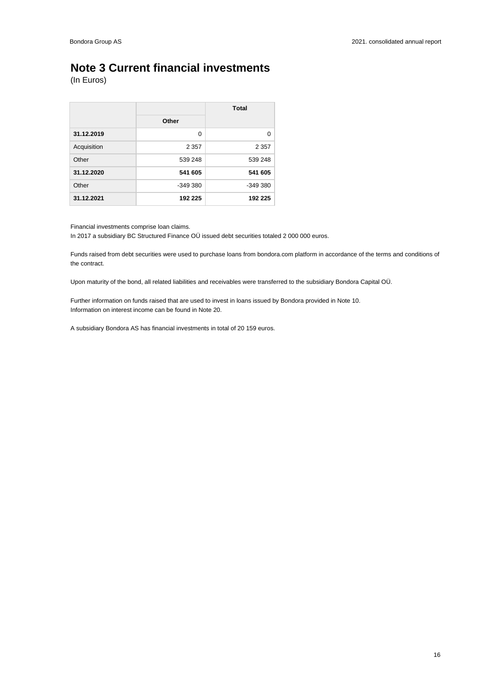### **Note 3 Current financial investments**

(In Euros)

|             |           | Total     |
|-------------|-----------|-----------|
|             | Other     |           |
| 31.12.2019  | $\Omega$  | 0         |
| Acquisition | 2 3 5 7   | 2 3 5 7   |
| Other       | 539 248   | 539 248   |
| 31.12.2020  | 541 605   | 541 605   |
| Other       | $-349380$ | $-349380$ |
| 31.12.2021  | 192 225   | 192 225   |

Financial investments comprise loan claims.

In 2017 a subsidiary BC Structured Finance OÜ issued debt securities totaled 2 000 000 euros.

Funds raised from debt securities were used to purchase loans from bondora.com platform in accordance of the terms and conditions of the contract.

Upon maturity of the bond, all related liabilities and receivables were transferred to the subsidiary Bondora Capital OÜ.

Further information on funds raised that are used to invest in loans issued by Bondora provided in Note 10. Information on interest income can be found in Note 20.

A subsidiary Bondora AS has financial investments in total of 20 159 euros.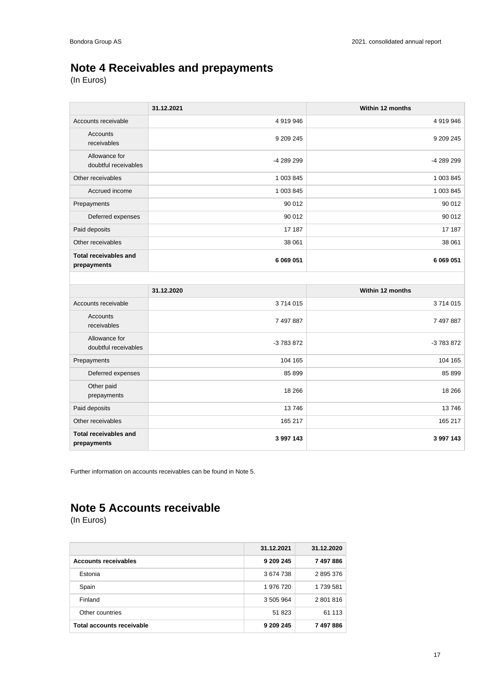## **Note 4 Receivables and prepayments**

(In Euros)

|                                             | 31.12.2021 | Within 12 months |
|---------------------------------------------|------------|------------------|
| Accounts receivable                         | 4919946    | 4 919 946        |
| Accounts<br>receivables                     | 9 209 245  | 9 209 245        |
| Allowance for<br>doubtful receivables       | -4 289 299 | -4 289 299       |
| Other receivables                           | 1 003 845  | 1 003 845        |
| Accrued income                              | 1 003 845  | 1 003 845        |
| Prepayments                                 | 90 012     | 90 012           |
| Deferred expenses                           | 90 012     | 90 012           |
| Paid deposits                               | 17 187     | 17 187           |
| Other receivables                           | 38 061     | 38 061           |
| <b>Total receivables and</b><br>prepayments | 6 069 051  | 6 069 051        |
|                                             |            |                  |
|                                             |            |                  |
|                                             | 31.12.2020 | Within 12 months |
| Accounts receivable                         | 3714015    | 3714015          |
| <b>Accounts</b><br>receivables              | 7 497 887  | 7 497 887        |
| Allowance for<br>doubtful receivables       | -3 783 872 | -3 783 872       |
| Prepayments                                 | 104 165    | 104 165          |
| Deferred expenses                           | 85 899     | 85 899           |
| Other paid<br>prepayments                   | 18 26 6    | 18 26 6          |
| Paid deposits                               | 13746      | 13746            |
| Other receivables                           | 165 217    | 165 217          |

Further information on accounts receivables can be found in Note 5.

## **Note 5 Accounts receivable**

|                             | 31.12.2021 | 31.12.2020 |
|-----------------------------|------------|------------|
| <b>Accounts receivables</b> | 9 209 245  | 7497886    |
| Estonia                     | 3674738    | 2895376    |
| Spain                       | 1 976 720  | 1739581    |
| Finland                     | 3 505 964  | 2 801 816  |
| Other countries             | 51 823     | 61 113     |
| Total accounts receivable   | 9 209 245  | 7497886    |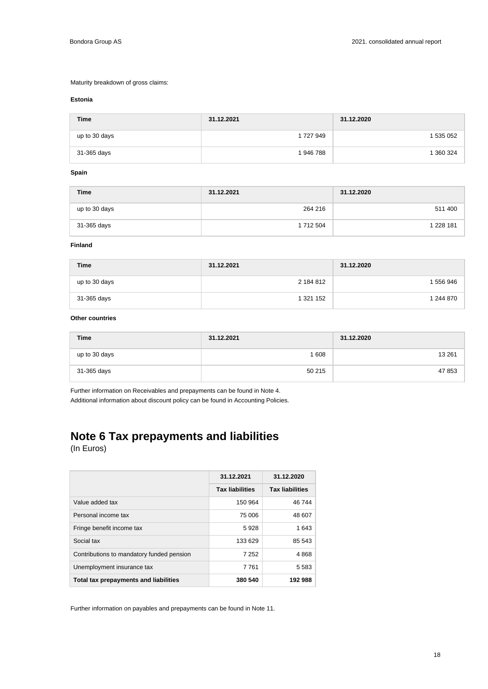### Maturity breakdown of gross claims:

### **Estonia**

| <b>Time</b>   | 31.12.2021 | 31.12.2020 |
|---------------|------------|------------|
| up to 30 days | 1 727 949  | 1 535 052  |
| 31-365 days   | 1946788    | 1 360 324  |

### **Spain**

| <b>Time</b>   | 31.12.2021    | 31.12.2020 |
|---------------|---------------|------------|
| up to 30 days | 264 216       | 511 400    |
| 31-365 days   | 1 7 1 2 5 0 4 | 1 228 181  |

### **Finland**

| <b>Time</b>   | 31.12.2021 | 31.12.2020 |
|---------------|------------|------------|
| up to 30 days | 2 184 812  | 556946     |
| 31-365 days   | 1 321 152  | 1 244 870  |

### **Other countries**

| <b>Time</b>   | 31.12.2021 | 31.12.2020 |
|---------------|------------|------------|
| up to 30 days | 608        | 13 2 61    |
| 31-365 days   | 50 215     | 47 853     |

Further information on Receivables and prepayments can be found in Note 4. Additional information about discount policy can be found in Accounting Policies.

# **Note 6 Tax prepayments and liabilities**

(In Euros)

|                                           | 31.12.2021             | 31.12.2020             |
|-------------------------------------------|------------------------|------------------------|
|                                           | <b>Tax liabilities</b> | <b>Tax liabilities</b> |
| Value added tax                           | 150 964                | 46744                  |
| Personal income tax                       | 75 006                 | 48 607                 |
| Fringe benefit income tax                 | 5928                   | 1 643                  |
| Social tax                                | 133 629                | 85 543                 |
| Contributions to mandatory funded pension | 7 252                  | 4868                   |
| Unemployment insurance tax                | 7 7 6 1                | 5 583                  |
| Total tax prepayments and liabilities     | 380 540                | 192988                 |

Further information on payables and prepayments can be found in Note 11.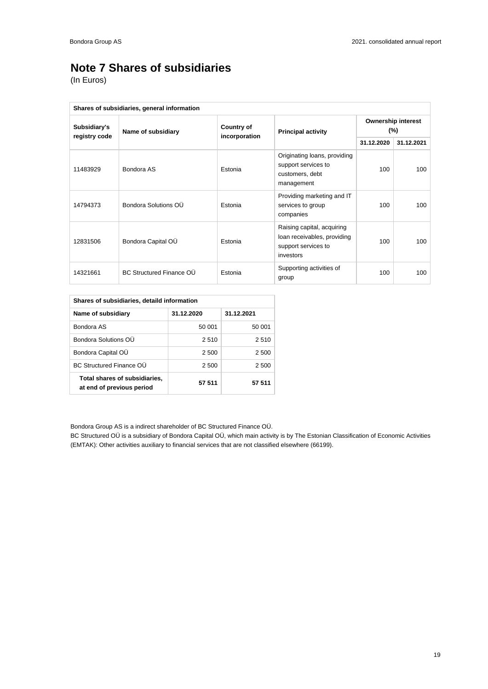## **Note 7 Shares of subsidiaries**

(In Euros)

| Shares of subsidiaries, general information |                                 |                   |                                                                                               |                                     |            |
|---------------------------------------------|---------------------------------|-------------------|-----------------------------------------------------------------------------------------------|-------------------------------------|------------|
| Subsidiary's<br>registry code               | Name of subsidiary              | <b>Country of</b> | <b>Principal activity</b>                                                                     | <b>Ownership interest</b><br>$(\%)$ |            |
|                                             |                                 | incorporation     |                                                                                               | 31.12.2020                          | 31.12.2021 |
| 11483929                                    | Bondora AS                      | Estonia           | Originating loans, providing<br>support services to<br>customers, debt<br>management          | 100                                 | 100        |
| 14794373                                    | Bondora Solutions OU            | Estonia           | Providing marketing and IT<br>services to group<br>companies                                  | 100                                 | 100        |
| 12831506                                    | Bondora Capital OÜ              | Estonia           | Raising capital, acquiring<br>loan receivables, providing<br>support services to<br>investors | 100                                 | 100        |
| 14321661                                    | <b>BC Structured Finance OU</b> | Estonia           | Supporting activities of<br>group                                                             | 100                                 | 100        |

| Shares of subsidiaries, detaild information                |            |            |  |  |
|------------------------------------------------------------|------------|------------|--|--|
| Name of subsidiary                                         | 31.12.2020 | 31.12.2021 |  |  |
| Bondora AS                                                 | 50 001     | 50 001     |  |  |
| Bondora Solutions OU                                       | 2510       | 2 5 1 0    |  |  |
| Bondora Capital OU                                         | 2 500      | 2 500      |  |  |
| <b>BC Structured Finance OU</b>                            | 2 500      | 2 500      |  |  |
| Total shares of subsidiaries,<br>at end of previous period | 57 511     | 57 511     |  |  |

Bondora Group AS is a indirect shareholder of BC Structured Finance OÜ.

BC Structured OÜ is a subsidiary of Bondora Capital OÜ, which main activity is by The Estonian Classification of Economic Activities (EMTAK): Other activities auxiliary to financial services that are not classified elsewhere (66199).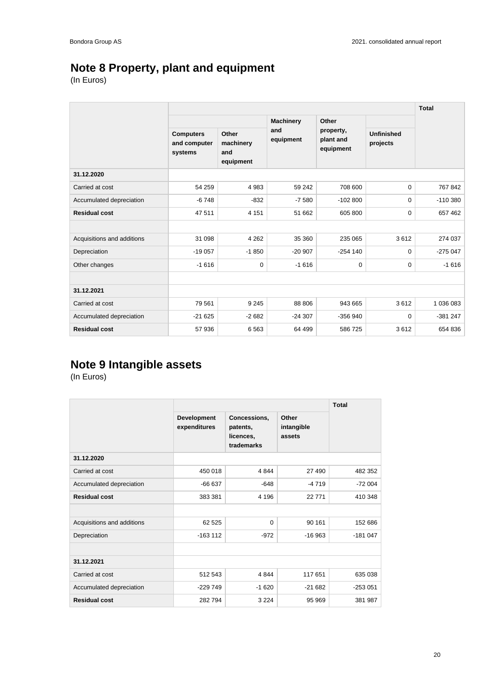## **Note 8 Property, plant and equipment**

(In Euros)

|                            |                                             |                                        |                  |                                     |                               | <b>Total</b> |
|----------------------------|---------------------------------------------|----------------------------------------|------------------|-------------------------------------|-------------------------------|--------------|
|                            |                                             |                                        | <b>Machinery</b> | Other                               |                               |              |
|                            | <b>Computers</b><br>and computer<br>systems | Other<br>machinery<br>and<br>equipment | and<br>equipment | property,<br>plant and<br>equipment | <b>Unfinished</b><br>projects |              |
| 31.12.2020                 |                                             |                                        |                  |                                     |                               |              |
| Carried at cost            | 54 259                                      | 4 9 8 3                                | 59 24 2          | 708 600                             | $\Omega$                      | 767 842      |
| Accumulated depreciation   | $-6748$                                     | $-832$                                 | $-7580$          | $-102800$                           | 0                             | $-110380$    |
| <b>Residual cost</b>       | 47 511                                      | 4 1 5 1                                | 51 662           | 605 800                             | 0                             | 657 462      |
|                            |                                             |                                        |                  |                                     |                               |              |
| Acquisitions and additions | 31 098                                      | 4 2 6 2                                | 35 360           | 235 065                             | 3612                          | 274 037      |
| Depreciation               | $-19057$                                    | $-1850$                                | $-20907$         | $-254$ 140                          | 0                             | $-275047$    |
| Other changes              | $-1616$                                     | $\mathbf 0$                            | $-1616$          | 0                                   | 0                             | $-1616$      |
|                            |                                             |                                        |                  |                                     |                               |              |
| 31.12.2021                 |                                             |                                        |                  |                                     |                               |              |
| Carried at cost            | 79 561                                      | 9 2 4 5                                | 88 806           | 943 665                             | 3612                          | 1 036 083    |
| Accumulated depreciation   | $-21625$                                    | $-2682$                                | $-24307$         | $-356940$                           | $\Omega$                      | $-381247$    |
| <b>Residual cost</b>       | 57 936                                      | 6563                                   | 64 499           | 586725                              | 3612                          | 654 836      |

## **Note 9 Intangible assets**

|                            |                             | <b>Total</b>                                        |                               |           |
|----------------------------|-----------------------------|-----------------------------------------------------|-------------------------------|-----------|
|                            | Development<br>expenditures | Concessions,<br>patents,<br>licences,<br>trademarks | Other<br>intangible<br>assets |           |
| 31.12.2020                 |                             |                                                     |                               |           |
| Carried at cost            | 450 018                     | 4 8 4 4                                             | 27 490                        | 482 352   |
| Accumulated depreciation   | $-66637$                    | $-648$                                              | $-4719$                       | $-72004$  |
| <b>Residual cost</b>       | 383 381                     | 4 1 9 6                                             | 22 771                        | 410 348   |
|                            |                             |                                                     |                               |           |
| Acquisitions and additions | 62 525                      | $\Omega$                                            | 90 161                        | 152 686   |
| Depreciation               | $-163112$                   | $-972$                                              | $-16963$                      | $-181047$ |
|                            |                             |                                                     |                               |           |
| 31.12.2021                 |                             |                                                     |                               |           |
| Carried at cost            | 512 543                     | 4844                                                | 117 651                       | 635 038   |
| Accumulated depreciation   | $-229749$                   | $-1620$                                             | $-21682$                      | $-253051$ |
| <b>Residual cost</b>       | 282 794                     | 3 2 2 4                                             | 95 969                        | 381 987   |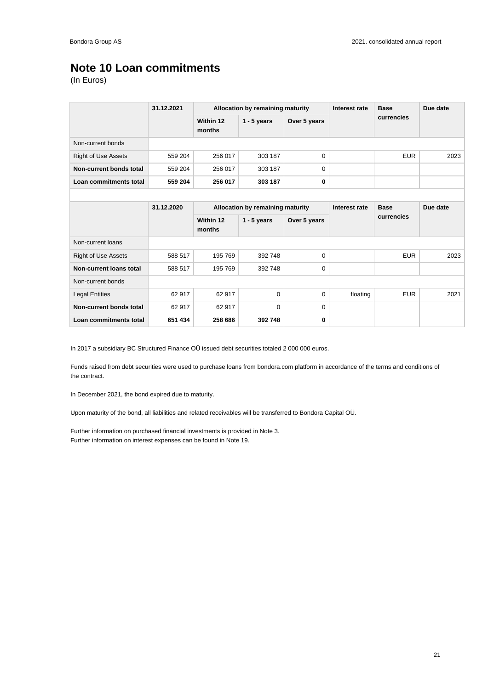### **Note 10 Loan commitments**

(In Euros)

|                            | 31.12.2021 | Allocation by remaining maturity |                                  |              | Interest rate | <b>Base</b> | Due date |
|----------------------------|------------|----------------------------------|----------------------------------|--------------|---------------|-------------|----------|
|                            |            | Within 12<br>months              | $1 - 5$ years                    | Over 5 years |               | currencies  |          |
| Non-current bonds          |            |                                  |                                  |              |               |             |          |
| <b>Right of Use Assets</b> | 559 204    | 256 017                          | 303 187                          | $\mathbf 0$  |               | <b>EUR</b>  | 2023     |
| Non-current bonds total    | 559 204    | 256 017                          | 303 187                          | 0            |               |             |          |
| Loan commitments total     | 559 204    | 256 017                          | 303 187                          | 0            |               |             |          |
|                            |            |                                  |                                  |              |               |             |          |
|                            | 31.12.2020 |                                  | Allocation by remaining maturity |              |               | <b>Base</b> | Due date |
|                            |            | Within 12<br>months              | $1 - 5$ years                    | Over 5 years |               | currencies  |          |
| Non-current loans          |            |                                  |                                  |              |               |             |          |
| <b>Right of Use Assets</b> | 588 517    | 195 769                          | 392 748                          | 0            |               | <b>EUR</b>  | 2023     |
| Non-current loans total    | 588 517    | 195 769                          | 392 748                          | 0            |               |             |          |
| Non-current bonds          |            |                                  |                                  |              |               |             |          |
| <b>Legal Entities</b>      | 62 917     | 62 917                           | $\Omega$                         | 0            | floating      | <b>EUR</b>  | 2021     |
| Non-current bonds total    | 62 917     | 62 917                           | $\Omega$                         | 0            |               |             |          |
| Loan commitments total     | 651 434    | 258 686                          | 392748                           | 0            |               |             |          |

In 2017 a subsidiary BC Structured Finance OÜ issued debt securities totaled 2 000 000 euros.

Funds raised from debt securities were used to purchase loans from bondora.com platform in accordance of the terms and conditions of the contract.

In December 2021, the bond expired due to maturity.

Upon maturity of the bond, all liabilities and related receivables will be transferred to Bondora Capital OÜ.

Further information on purchased financial investments is provided in Note 3. Further information on interest expenses can be found in Note 19.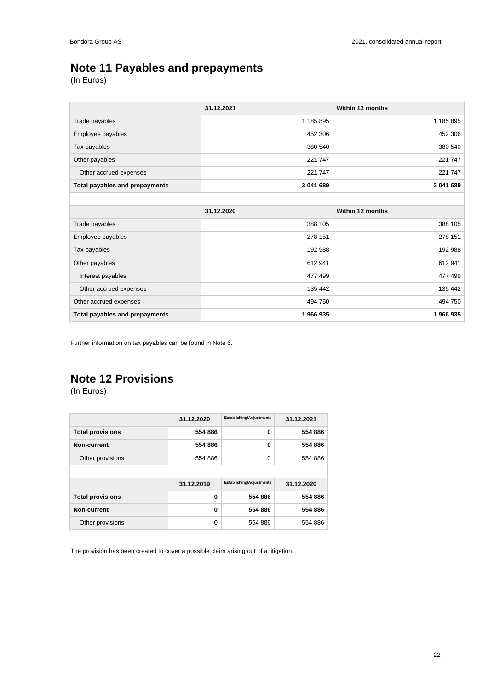## **Note 11 Payables and prepayments**

(In Euros)

|                                | 31.12.2021 | Within 12 months |
|--------------------------------|------------|------------------|
| Trade payables                 | 1 185 895  | 1 185 895        |
| Employee payables              | 452 306    | 452 306          |
| Tax payables                   | 380 540    | 380 540          |
| Other payables                 | 221 747    | 221 747          |
| Other accrued expenses         | 221 747    | 221 747          |
| Total payables and prepayments | 3 041 689  | 3 041 689        |

|                                | 31.12.2020 | Within 12 months |
|--------------------------------|------------|------------------|
| Trade payables                 | 388 105    | 388 105          |
| Employee payables              | 278 151    | 278 151          |
| Tax payables                   | 192 988    | 192 988          |
| Other payables                 | 612941     | 612 941          |
| Interest payables              | 477 499    | 477 499          |
| Other accrued expenses         | 135 442    | 135 442          |
| Other accrued expenses         | 494 750    | 494 750          |
| Total payables and prepayments | 1966935    | 1966935          |

Further information on tax payables can be found in Note 6.

## **Note 12 Provisions**

(In Euros)

|                         | 31.12.2020 | <b>Establishing/Adjustments</b> | 31.12.2021 |
|-------------------------|------------|---------------------------------|------------|
| <b>Total provisions</b> | 554 886    | $\bf{0}$                        | 554 886    |
| Non-current             | 554 886    | $\bf{0}$                        | 554 886    |
| Other provisions        | 554 886    | 0                               | 554 886    |
|                         |            |                                 |            |
|                         | 31.12.2019 | <b>Establishing/Adjustments</b> | 31.12.2020 |
| <b>Total provisions</b> | 0          | 554 886                         | 554 886    |
| Non-current             | 0          | 554 886                         | 554 886    |
| Other provisions        | $\Omega$   | 554 886                         | 554 886    |

The provision has been created to cover a possible claim arising out of a litigation.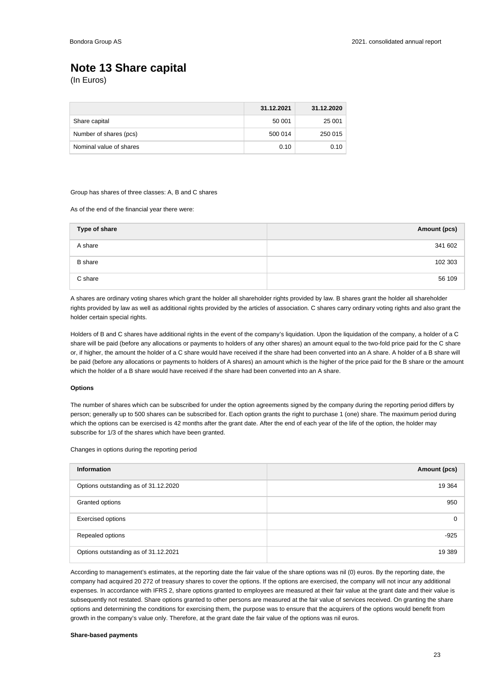## **Note 13 Share capital**

(In Euros)

|                         | 31.12.2021 | 31.12.2020 |
|-------------------------|------------|------------|
| Share capital           | 50 001     | 25 001     |
| Number of shares (pcs)  | 500 014    | 250 015    |
| Nominal value of shares | 0.10       | 0.10       |

### Group has shares of three classes: A, B and C shares

As of the end of the financial year there were:

| Type of share  | Amount (pcs) |
|----------------|--------------|
| A share        | 341 602      |
| <b>B</b> share | 102 303      |
| C share        | 56 109       |

A shares are ordinary voting shares which grant the holder all shareholder rights provided by law. B shares grant the holder all shareholder rights provided by law as well as additional rights provided by the articles of association. C shares carry ordinary voting rights and also grant the holder certain special rights.

Holders of B and C shares have additional rights in the event of the company's liquidation. Upon the liquidation of the company, a holder of a C share will be paid (before any allocations or payments to holders of any other shares) an amount equal to the two-fold price paid for the C share or, if higher, the amount the holder of a C share would have received if the share had been converted into an A share. A holder of a B share will be paid (before any allocations or payments to holders of A shares) an amount which is the higher of the price paid for the B share or the amount which the holder of a B share would have received if the share had been converted into an A share.

### **Options**

The number of shares which can be subscribed for under the option agreements signed by the company during the reporting period differs by person; generally up to 500 shares can be subscribed for. Each option grants the right to purchase 1 (one) share. The maximum period during which the options can be exercised is 42 months after the grant date. After the end of each year of the life of the option, the holder may subscribe for 1/3 of the shares which have been granted.

Changes in options during the reporting period

| <b>Information</b>                   | Amount (pcs) |
|--------------------------------------|--------------|
| Options outstanding as of 31.12.2020 | 19 3 64      |
| Granted options                      | 950          |
| <b>Exercised options</b>             | 0            |
| Repealed options                     | $-925$       |
| Options outstanding as of 31.12.2021 | 19 389       |

According to management's estimates, at the reporting date the fair value of the share options was nil (0) euros. By the reporting date, the company had acquired 20 272 of treasury shares to cover the options. If the options are exercised, the company will not incur any additional expenses. In accordance with IFRS 2, share options granted to employees are measured at their fair value at the grant date and their value is subsequently not restated. Share options granted to other persons are measured at the fair value of services received. On granting the share options and determining the conditions for exercising them, the purpose was to ensure that the acquirers of the options would benefit from growth in the company's value only. Therefore, at the grant date the fair value of the options was nil euros.

### **Share-based payments**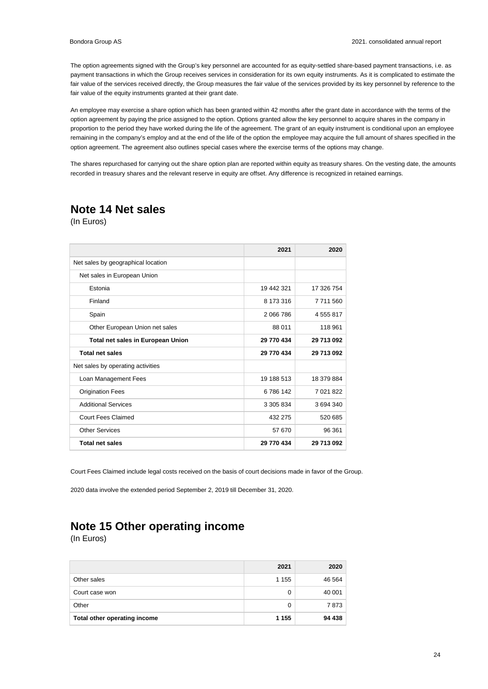The option agreements signed with the Group's key personnel are accounted for as equity-settled share-based payment transactions, i.e. as payment transactions in which the Group receives services in consideration for its own equity instruments. As it is complicated to estimate the fair value of the services received directly, the Group measures the fair value of the services provided by its key personnel by reference to the fair value of the equity instruments granted at their grant date.

An employee may exercise a share option which has been granted within 42 months after the grant date in accordance with the terms of the option agreement by paying the price assigned to the option. Options granted allow the key personnel to acquire shares in the company in proportion to the period they have worked during the life of the agreement. The grant of an equity instrument is conditional upon an employee remaining in the company's employ and at the end of the life of the option the employee may acquire the full amount of shares specified in the option agreement. The agreement also outlines special cases where the exercise terms of the options may change.

The shares repurchased for carrying out the share option plan are reported within equity as treasury shares. On the vesting date, the amounts recorded in treasury shares and the relevant reserve in equity are offset. Any difference is recognized in retained earnings.

### **Note 14 Net sales**

(In Euros)

|                                          | 2021       | 2020       |
|------------------------------------------|------------|------------|
| Net sales by geographical location       |            |            |
| Net sales in European Union              |            |            |
| Estonia                                  | 19 442 321 | 17 326 754 |
| Finland                                  | 8 173 316  | 7 711 560  |
| Spain                                    | 2 066 786  | 4 555 817  |
| Other European Union net sales           | 88 011     | 118 961    |
| <b>Total net sales in European Union</b> | 29 770 434 | 29 713 092 |
| <b>Total net sales</b>                   | 29 770 434 | 29 713 092 |
| Net sales by operating activities        |            |            |
| Loan Management Fees                     | 19 188 513 | 18 379 884 |
| <b>Origination Fees</b>                  | 6786142    | 7 021 822  |
| <b>Additional Services</b>               | 3 305 834  | 3694340    |
| Court Fees Claimed                       | 432 275    | 520 685    |
| <b>Other Services</b>                    | 57 670     | 96 361     |
| <b>Total net sales</b>                   | 29 770 434 | 29 713 092 |

Court Fees Claimed include legal costs received on the basis of court decisions made in favor of the Group.

2020 data involve the extended period September 2, 2019 till December 31, 2020.

## **Note 15 Other operating income**

|                              | 2021    | 2020   |
|------------------------------|---------|--------|
| Other sales                  | 1 1 5 5 | 46 564 |
| Court case won               |         | 40 001 |
| Other                        |         | 7873   |
| Total other operating income | 1 1 5 5 | 94 438 |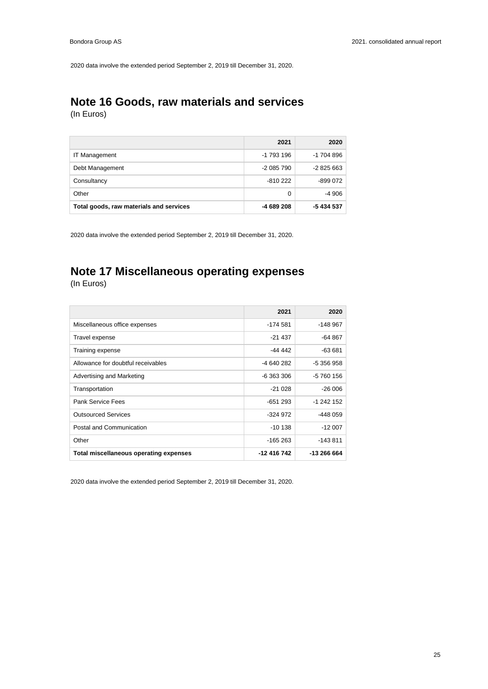2020 data involve the extended period September 2, 2019 till December 31, 2020.

# **Note 16 Goods, raw materials and services**

(In Euros)

|                                         | 2021       | 2020       |
|-----------------------------------------|------------|------------|
| <b>IT Management</b>                    | -1 793 196 | -1 704 896 |
| Debt Management                         | -2 085 790 | $-2825663$ |
| Consultancy                             | $-810222$  | -899 072   |
| Other                                   | $\Omega$   | -4 906     |
| Total goods, raw materials and services | -4 689 208 | -5 434 537 |

2020 data involve the extended period September 2, 2019 till December 31, 2020.

# **Note 17 Miscellaneous operating expenses**

(In Euros)

|                                               | 2021         | 2020        |
|-----------------------------------------------|--------------|-------------|
| Miscellaneous office expenses                 | -174 581     | $-148967$   |
| Travel expense                                | $-21437$     | -64 867     |
| Training expense                              | -44 442      | -63 681     |
| Allowance for doubtful receivables            | -4 640 282   | -5 356 958  |
| Advertising and Marketing                     | $-6.363.306$ | -5 760 156  |
| Transportation                                | $-21028$     | $-26006$    |
| Pank Service Fees                             | $-651293$    | $-1242152$  |
| <b>Outsourced Services</b>                    | $-324.972$   | $-448059$   |
| Postal and Communication                      | $-10138$     | $-12007$    |
| Other                                         | $-165263$    | $-143811$   |
| <b>Total miscellaneous operating expenses</b> | -12 416 742  | -13 266 664 |

2020 data involve the extended period September 2, 2019 till December 31, 2020.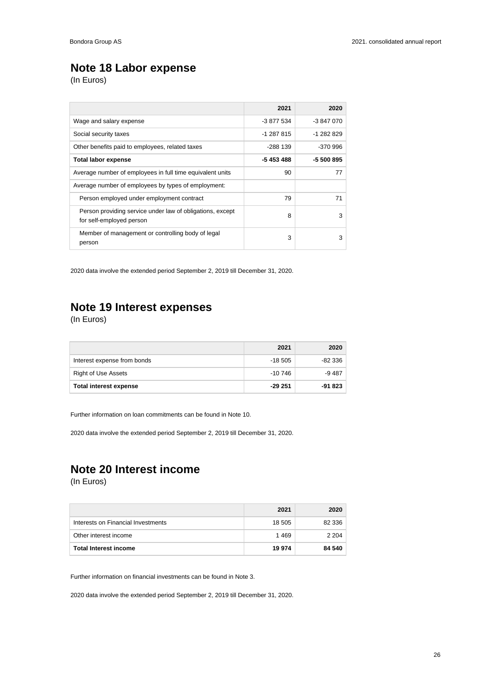## **Note 18 Labor expense**

(In Euros)

|                                                                                       | 2021       | 2020       |
|---------------------------------------------------------------------------------------|------------|------------|
| Wage and salary expense                                                               | -3 877 534 | $-3847070$ |
| Social security taxes                                                                 | $-1287815$ | $-1282829$ |
| Other benefits paid to employees, related taxes                                       | $-288$ 139 | $-370.996$ |
| <b>Total labor expense</b>                                                            | -5 453 488 | -5 500 895 |
| Average number of employees in full time equivalent units                             | 90         | 77         |
| Average number of employees by types of employment:                                   |            |            |
| Person employed under employment contract                                             | 79         | 71         |
| Person providing service under law of obligations, except<br>for self-employed person | 8          | 3          |
| Member of management or controlling body of legal<br>person                           | 3          | 3          |

2020 data involve the extended period September 2, 2019 till December 31, 2020.

### **Note 19 Interest expenses**

(In Euros)

|                               | 2021     | 2020    |
|-------------------------------|----------|---------|
| Interest expense from bonds   | $-18505$ | -82 336 |
| <b>Right of Use Assets</b>    | -10 746  | $-9487$ |
| <b>Total interest expense</b> | $-29251$ | -91 823 |

Further information on loan commitments can be found in Note 10.

2020 data involve the extended period September 2, 2019 till December 31, 2020.

### **Note 20 Interest income**

(In Euros)

|                                    | 2021   | 2020    |
|------------------------------------|--------|---------|
| Interests on Financial Investments | 18 505 | 82 336  |
| Other interest income              | 1469   | 2 2 0 4 |
| <b>Total Interest income</b>       | 19 974 | 84 540  |

Further information on financial investments can be found in Note 3.

2020 data involve the extended period September 2, 2019 till December 31, 2020.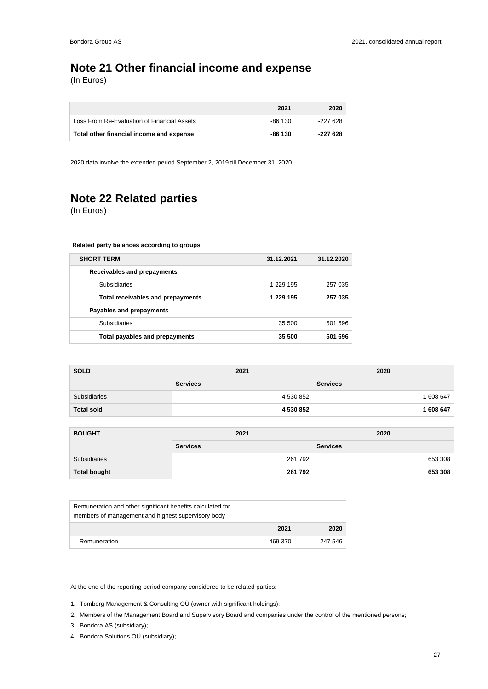## **Note 21 Other financial income and expense**

(In Euros)

|                                             | 2021    | 2020     |
|---------------------------------------------|---------|----------|
| Loss From Re-Evaluation of Financial Assets | -86 130 | -227 628 |
| Total other financial income and expense    | -86 130 | -227 628 |

2020 data involve the extended period September 2, 2019 till December 31, 2020.

## **Note 22 Related parties**

(In Euros)

### **Related party balances according to groups**

| <b>SHORT TERM</b>                 | 31.12.2021 | 31.12.2020 |
|-----------------------------------|------------|------------|
| Receivables and prepayments       |            |            |
| <b>Subsidiaries</b>               | 1 229 195  | 257 035    |
| Total receivables and prepayments | 1 229 195  | 257 035    |
| Payables and prepayments          |            |            |
| <b>Subsidiaries</b>               | 35 500     | 501 696    |
| Total payables and prepayments    | 35 500     | 501 696    |

| <b>SOLD</b>       | 2021            | 2020            |
|-------------------|-----------------|-----------------|
|                   | <b>Services</b> | <b>Services</b> |
| Subsidiaries      | 4 530 852       | 1 608 647       |
| <b>Total sold</b> | 4 530 852       | 1 608 647       |

| <b>BOUGHT</b>       | 2021            | 2020            |  |
|---------------------|-----------------|-----------------|--|
|                     | <b>Services</b> | <b>Services</b> |  |
| Subsidiaries        | 261 792         | 653 308         |  |
| <b>Total bought</b> | 261 792         | 653 308         |  |

| Remuneration and other significant benefits calculated for<br>members of management and highest supervisory body |         |         |
|------------------------------------------------------------------------------------------------------------------|---------|---------|
|                                                                                                                  | 2021    | 2020    |
| Remuneration                                                                                                     | 469 370 | 247 546 |

At the end of the reporting period company considered to be related parties:

- 1. Tomberg Management & Consulting OÜ (owner with significant holdings);
- 2. Members of the Management Board and Supervisory Board and companies under the control of the mentioned persons;
- 3. Bondora AS (subsidiary);
- 4. Bondora Solutions OÜ (subsidiary);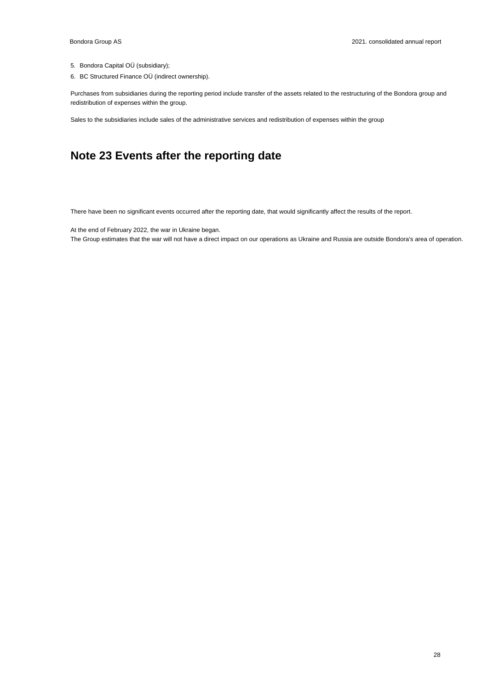- 5. Bondora Capital OÜ (subsidiary);
- 6. BC Structured Finance OÜ (indirect ownership).

Purchases from subsidiaries during the reporting period include transfer of the assets related to the restructuring of the Bondora group and redistribution of expenses within the group.

Sales to the subsidiaries include sales of the administrative services and redistribution of expenses within the group

### **Note 23 Events after the reporting date**

There have been no significant events occurred after the reporting date, that would significantly affect the results of the report.

At the end of February 2022, the war in Ukraine began.

The Group estimates that the war will not have a direct impact on our operations as Ukraine and Russia are outside Bondora's area of operation.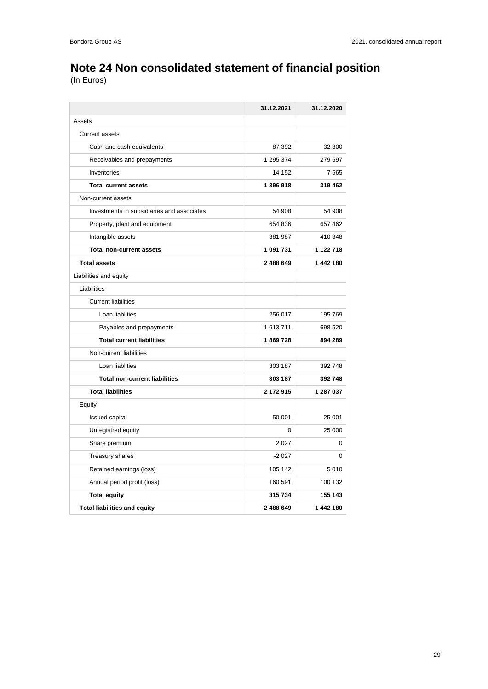# **Note 24 Non consolidated statement of financial position**

|                                            | 31.12.2021 | 31.12.2020 |
|--------------------------------------------|------------|------------|
| Assets                                     |            |            |
| <b>Current assets</b>                      |            |            |
| Cash and cash equivalents                  | 87 392     | 32 300     |
| Receivables and prepayments                | 1 295 374  | 279 597    |
| Inventories                                | 14 152     | 7565       |
| <b>Total current assets</b>                | 1 396 918  | 319 462    |
| Non-current assets                         |            |            |
| Investments in subsidiaries and associates | 54 908     | 54 908     |
| Property, plant and equipment              | 654 836    | 657 462    |
| Intangible assets                          | 381 987    | 410 348    |
| <b>Total non-current assets</b>            | 1 091 731  | 1 122 718  |
| <b>Total assets</b>                        | 2 488 649  | 1442180    |
| Liabilities and equity                     |            |            |
| Liabilities                                |            |            |
| <b>Current liabilities</b>                 |            |            |
| Loan liablities                            | 256 017    | 195 769    |
| Payables and prepayments                   | 1 613 711  | 698 520    |
| <b>Total current liabilities</b>           | 1869728    | 894 289    |
| Non-current liabilities                    |            |            |
| Loan liablities                            | 303 187    | 392 748    |
| <b>Total non-current liabilities</b>       | 303 187    | 392 748    |
| <b>Total liabilities</b>                   | 2 172 915  | 1 287 037  |
| Equity                                     |            |            |
| Issued capital                             | 50 001     | 25 001     |
| Unregistred equity                         | $\Omega$   | 25 000     |
| Share premium                              | 2 0 2 7    | 0          |
| <b>Treasury shares</b>                     | $-2027$    | 0          |
| Retained earnings (loss)                   | 105 142    | 5010       |
| Annual period profit (loss)                | 160 591    | 100 132    |
| <b>Total equity</b>                        | 315 734    | 155 143    |
| <b>Total liabilities and equity</b>        | 2 488 649  | 1 442 180  |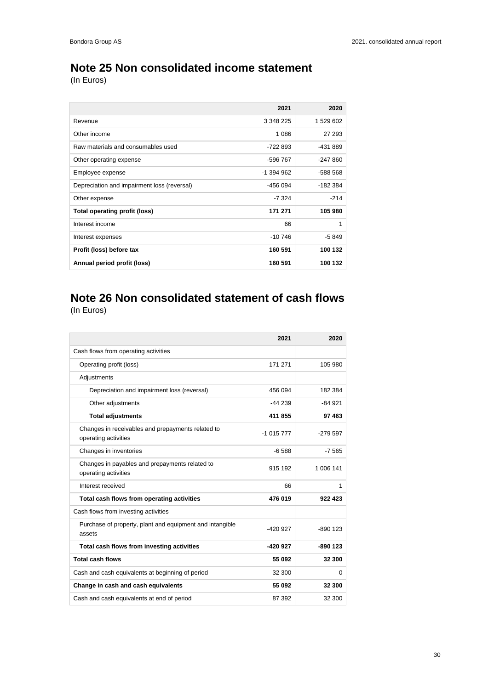## **Note 25 Non consolidated income statement**

(In Euros)

|                                             | 2021         | 2020      |
|---------------------------------------------|--------------|-----------|
| Revenue                                     | 3 348 225    | 1 529 602 |
| Other income                                | 1 0 8 6      | 27 293    |
| Raw materials and consumables used          | -722 893     | -431 889  |
| Other operating expense                     | -596 767     | $-247860$ |
| Employee expense                            | $-1$ 394 962 | -588 568  |
| Depreciation and impairment loss (reversal) | -456 094     | -182 384  |
| Other expense                               | -7 324       | $-214$    |
| Total operating profit (loss)               | 171 271      | 105 980   |
| Interest income                             | 66           | 1         |
| Interest expenses                           | $-10746$     | -5 849    |
| Profit (loss) before tax                    | 160 591      | 100 132   |
| Annual period profit (loss)                 | 160 591      | 100 132   |

### **Note 26 Non consolidated statement of cash flows** (In Euros)

|                                                                           | 2021       | 2020       |
|---------------------------------------------------------------------------|------------|------------|
| Cash flows from operating activities                                      |            |            |
| Operating profit (loss)                                                   | 171 271    | 105 980    |
| Adjustments                                                               |            |            |
| Depreciation and impairment loss (reversal)                               | 456 094    | 182 384    |
| Other adjustments                                                         | $-44239$   | $-84.921$  |
| <b>Total adjustments</b>                                                  | 411 855    | 97 463     |
| Changes in receivables and prepayments related to<br>operating activities | $-1015777$ | $-279.597$ |
| Changes in inventories                                                    | $-6.588$   | $-7565$    |
| Changes in payables and prepayments related to<br>operating activities    | 915 192    | 1 006 141  |
| Interest received                                                         | 66         | 1          |
| Total cash flows from operating activities                                | 476 019    | 922 423    |
| Cash flows from investing activities                                      |            |            |
| Purchase of property, plant and equipment and intangible<br>assets        | $-420927$  | $-890$ 123 |
| Total cash flows from investing activities                                | -420 927   | $-890$ 123 |
| <b>Total cash flows</b>                                                   | 55 092     | 32 300     |
| Cash and cash equivalents at beginning of period                          | 32 300     | 0          |
| Change in cash and cash equivalents                                       | 55 092     | 32 300     |
| Cash and cash equivalents at end of period                                | 87 392     | 32 300     |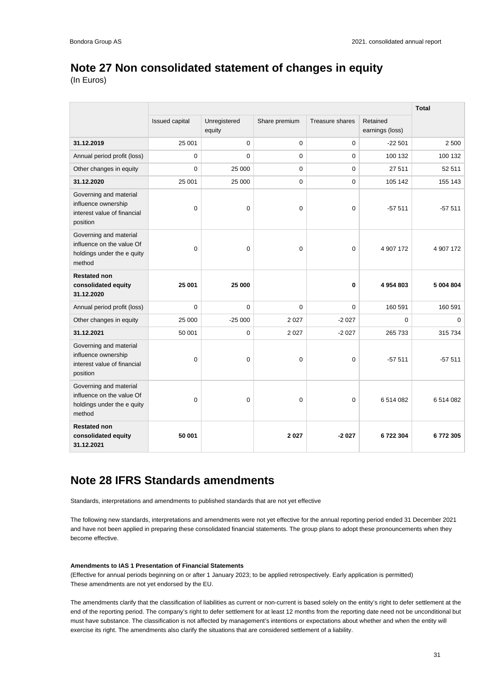## **Note 27 Non consolidated statement of changes in equity**

(In Euros)

|                                                                                             |                |                        |               |                 |                             | <b>Total</b> |
|---------------------------------------------------------------------------------------------|----------------|------------------------|---------------|-----------------|-----------------------------|--------------|
|                                                                                             | Issued capital | Unregistered<br>equity | Share premium | Treasure shares | Retained<br>earnings (loss) |              |
| 31.12.2019                                                                                  | 25 001         | 0                      | $\mathbf 0$   | $\mathbf 0$     | $-22501$                    | 2 500        |
| Annual period profit (loss)                                                                 | 0              | $\Omega$               | 0             | $\mathbf 0$     | 100 132                     | 100 132      |
| Other changes in equity                                                                     | $\Omega$       | 25 000                 | 0             | 0               | 27 511                      | 52 511       |
| 31.12.2020                                                                                  | 25 001         | 25 000                 | 0             | 0               | 105 142                     | 155 143      |
| Governing and material<br>influence ownership<br>interest value of financial<br>position    | $\mathbf 0$    | $\mathbf 0$            | $\mathbf 0$   | $\mathbf 0$     | $-57511$                    | $-57511$     |
| Governing and material<br>influence on the value Of<br>holdings under the e quity<br>method | $\mathbf 0$    | 0                      | 0             | $\mathbf 0$     | 4 907 172                   | 4 907 172    |
| <b>Restated non</b><br>consolidated equity<br>31.12.2020                                    | 25 001         | 25 000                 |               | 0               | 4954803                     | 5 004 804    |
| Annual period profit (loss)                                                                 | $\Omega$       | $\Omega$               | $\Omega$      | $\Omega$        | 160 591                     | 160 591      |
| Other changes in equity                                                                     | 25 000         | $-25000$               | 2 0 2 7       | $-2027$         | $\Omega$                    | $\Omega$     |
| 31.12.2021                                                                                  | 50 001         | $\mathbf 0$            | 2 0 2 7       | $-2027$         | 265 733                     | 315 734      |
| Governing and material<br>influence ownership<br>interest value of financial<br>position    | $\mathbf 0$    | 0                      | $\mathbf 0$   | $\mathbf 0$     | $-57511$                    | $-57511$     |
| Governing and material<br>influence on the value Of<br>holdings under the e quity<br>method | $\mathbf 0$    | $\mathbf 0$            | 0             | $\mathbf 0$     | 6514082                     | 6 514 082    |
| <b>Restated non</b><br>consolidated equity<br>31.12.2021                                    | 50 001         |                        | 2027          | $-2027$         | 6722304                     | 6772305      |

### **Note 28 IFRS Standards amendments**

Standards, interpretations and amendments to published standards that are not yet effective

The following new standards, interpretations and amendments were not yet effective for the annual reporting period ended 31 December 2021 and have not been applied in preparing these consolidated financial statements. The group plans to adopt these pronouncements when they become effective.

### **Amendments to IAS 1 Presentation of Financial Statements**

(Effective for annual periods beginning on or after 1 January 2023; to be applied retrospectively. Early application is permitted) These amendments are not yet endorsed by the EU.

The amendments clarify that the classification of liabilities as current or non-current is based solely on the entity's right to defer settlement at the end of the reporting period. The company's right to defer settlement for at least 12 months from the reporting date need not be unconditional but must have substance. The classification is not affected by management's intentions or expectations about whether and when the entity will exercise its right. The amendments also clarify the situations that are considered settlement of a liability.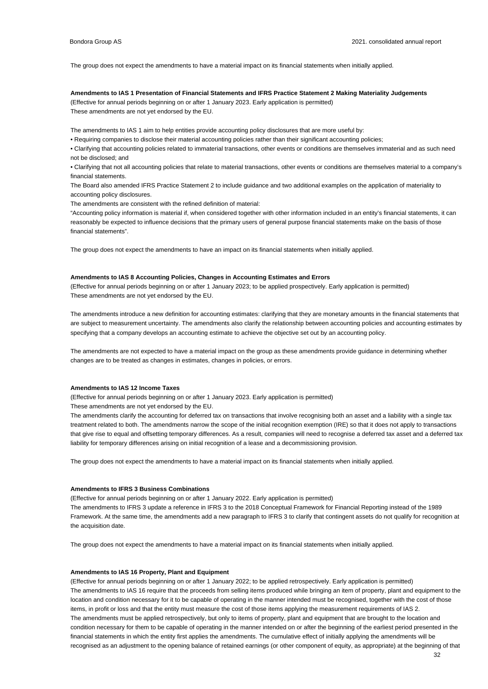The group does not expect the amendments to have a material impact on its financial statements when initially applied.

#### **Amendments to IAS 1 Presentation of Financial Statements and IFRS Practice Statement 2 Making Materiality Judgements**

(Effective for annual periods beginning on or after 1 January 2023. Early application is permitted) These amendments are not yet endorsed by the EU.

The amendments to IAS 1 aim to help entities provide accounting policy disclosures that are more useful by:

• Requiring companies to disclose their material accounting policies rather than their significant accounting policies;

• Clarifying that accounting policies related to immaterial transactions, other events or conditions are themselves immaterial and as such need not be disclosed; and

• Clarifying that not all accounting policies that relate to material transactions, other events or conditions are themselves material to a company's financial statements.

The Board also amended IFRS Practice Statement 2 to include guidance and two additional examples on the application of materiality to accounting policy disclosures.

The amendments are consistent with the refined definition of material:

"Accounting policy information is material if, when considered together with other information included in an entity's financial statements, it can reasonably be expected to influence decisions that the primary users of general purpose financial statements make on the basis of those financial statements".

The group does not expect the amendments to have an impact on its financial statements when initially applied.

### **Amendments to IAS 8 Accounting Policies, Changes in Accounting Estimates and Errors**

(Effective for annual periods beginning on or after 1 January 2023; to be applied prospectively. Early application is permitted) These amendments are not yet endorsed by the EU.

The amendments introduce a new definition for accounting estimates: clarifying that they are monetary amounts in the financial statements that are subject to measurement uncertainty. The amendments also clarify the relationship between accounting policies and accounting estimates by specifying that a company develops an accounting estimate to achieve the objective set out by an accounting policy.

The amendments are not expected to have a material impact on the group as these amendments provide guidance in determining whether changes are to be treated as changes in estimates, changes in policies, or errors.

#### **Amendments to IAS 12 Income Taxes**

(Effective for annual periods beginning on or after 1 January 2023. Early application is permitted)

These amendments are not yet endorsed by the EU.

The amendments clarify the accounting for deferred tax on transactions that involve recognising both an asset and a liability with a single tax treatment related to both. The amendments narrow the scope of the initial recognition exemption (IRE) so that it does not apply to transactions that give rise to equal and offsetting temporary differences. As a result, companies will need to recognise a deferred tax asset and a deferred tax liability for temporary differences arising on initial recognition of a lease and a decommissioning provision.

The group does not expect the amendments to have a material impact on its financial statements when initially applied.

### **Amendments to IFRS 3 Business Combinations**

(Effective for annual periods beginning on or after 1 January 2022. Early application is permitted)

The amendments to IFRS 3 update a reference in IFRS 3 to the 2018 Conceptual Framework for Financial Reporting instead of the 1989 Framework. At the same time, the amendments add a new paragraph to IFRS 3 to clarify that contingent assets do not qualify for recognition at the acquisition date.

The group does not expect the amendments to have a material impact on its financial statements when initially applied.

### **Amendments to IAS 16 Property, Plant and Equipment**

(Effective for annual periods beginning on or after 1 January 2022; to be applied retrospectively. Early application is permitted) The amendments to IAS 16 require that the proceeds from selling items produced while bringing an item of property, plant and equipment to the location and condition necessary for it to be capable of operating in the manner intended must be recognised, together with the cost of those items, in profit or loss and that the entity must measure the cost of those items applying the measurement requirements of IAS 2. The amendments must be applied retrospectively, but only to items of property, plant and equipment that are brought to the location and condition necessary for them to be capable of operating in the manner intended on or after the beginning of the earliest period presented in the financial statements in which the entity first applies the amendments. The cumulative effect of initially applying the amendments will be recognised as an adjustment to the opening balance of retained earnings (or other component of equity, as appropriate) at the beginning of that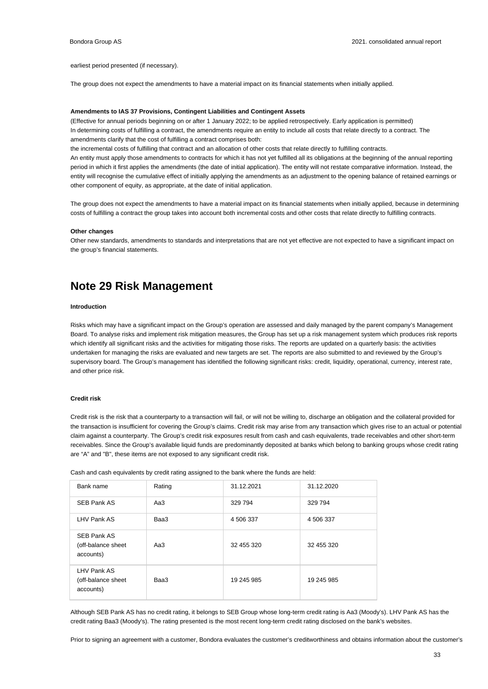### earliest period presented (if necessary).

The group does not expect the amendments to have a material impact on its financial statements when initially applied.

#### **Amendments to IAS 37 Provisions, Contingent Liabilities and Contingent Assets**

(Effective for annual periods beginning on or after 1 January 2022; to be applied retrospectively. Early application is permitted) In determining costs of fulfilling a contract, the amendments require an entity to include all costs that relate directly to a contract. The amendments clarify that the cost of fulfilling a contract comprises both:

the incremental costs of fulfilling that contract and an allocation of other costs that relate directly to fulfilling contracts.

An entity must apply those amendments to contracts for which it has not yet fulfilled all its obligations at the beginning of the annual reporting period in which it first applies the amendments (the date of initial application). The entity will not restate comparative information. Instead, the entity will recognise the cumulative effect of initially applying the amendments as an adjustment to the opening balance of retained earnings or other component of equity, as appropriate, at the date of initial application.

The group does not expect the amendments to have a material impact on its financial statements when initially applied, because in determining costs of fulfilling a contract the group takes into account both incremental costs and other costs that relate directly to fulfilling contracts.

### **Other changes**

Other new standards, amendments to standards and interpretations that are not yet effective are not expected to have a significant impact on the group's financial statements.

### **Note 29 Risk Management**

### **Introduction**

Risks which may have a significant impact on the Group's operation are assessed and daily managed by the parent company's Management Board. To analyse risks and implement risk mitigation measures, the Group has set up a risk management system which produces risk reports which identify all significant risks and the activities for mitigating those risks. The reports are updated on a quarterly basis: the activities undertaken for managing the risks are evaluated and new targets are set. The reports are also submitted to and reviewed by the Group's supervisory board. The Group's management has identified the following significant risks: credit, liquidity, operational, currency, interest rate, and other price risk.

### **Credit risk**

Credit risk is the risk that a counterparty to a transaction will fail, or will not be willing to, discharge an obligation and the collateral provided for the transaction is insufficient for covering the Group's claims. Credit risk may arise from any transaction which gives rise to an actual or potential claim against a counterparty. The Group's credit risk exposures result from cash and cash equivalents, trade receivables and other short-term receivables. Since the Group's available liquid funds are predominantly deposited at banks which belong to banking groups whose credit rating are "A" and "B", these items are not exposed to any significant credit risk.

Cash and cash equivalents by credit rating assigned to the bank where the funds are held:

| Bank name                                             | Rating | 31.12.2021 | 31.12.2020 |
|-------------------------------------------------------|--------|------------|------------|
| <b>SEB Pank AS</b>                                    | Aa3    | 329 794    | 329 794    |
| LHV Pank AS                                           | Baa3   | 4 506 337  | 4 506 337  |
| <b>SEB Pank AS</b><br>(off-balance sheet<br>accounts) | Aa3    | 32 455 320 | 32 455 320 |
| LHV Pank AS<br>(off-balance sheet<br>accounts)        | Baa3   | 19 245 985 | 19 245 985 |

Although SEB Pank AS has no credit rating, it belongs to SEB Group whose long-term credit rating is Aa3 (Moody's). LHV Pank AS has the credit rating Baa3 (Moody's). The rating presented is the most recent long-term credit rating disclosed on the bank's websites.

Prior to signing an agreement with a customer, Bondora evaluates the customer's creditworthiness and obtains information about the customer's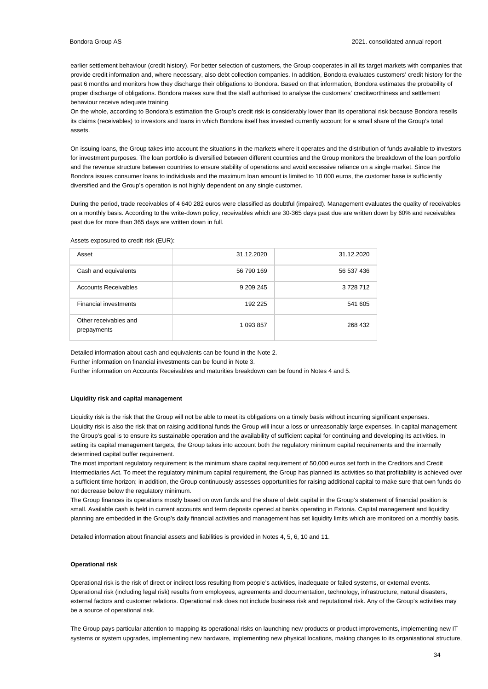earlier settlement behaviour (credit history). For better selection of customers, the Group cooperates in all its target markets with companies that provide credit information and, where necessary, also debt collection companies. In addition, Bondora evaluates customers' credit history for the past 6 months and monitors how they discharge their obligations to Bondora. Based on that information, Bondora estimates the probability of proper discharge of obligations. Bondora makes sure that the staff authorised to analyse the customers' creditworthiness and settlement behaviour receive adequate training.

On the whole, according to Bondora's estimation the Group's credit risk is considerably lower than its operational risk because Bondora resells its claims (receivables) to investors and loans in which Bondora itself has invested currently account for a small share of the Group's total assets.

On issuing loans, the Group takes into account the situations in the markets where it operates and the distribution of funds available to investors for investment purposes. The loan portfolio is diversified between different countries and the Group monitors the breakdown of the loan portfolio and the revenue structure between countries to ensure stability of operations and avoid excessive reliance on a single market. Since the Bondora issues consumer loans to individuals and the maximum loan amount is limited to 10 000 euros, the customer base is sufficiently diversified and the Group's operation is not highly dependent on any single customer.

During the period, trade receivables of 4 640 282 euros were classified as doubtful (impaired). Management evaluates the quality of receivables on a monthly basis. According to the write-down policy, receivables which are 30-365 days past due are written down by 60% and receivables past due for more than 365 days are written down in full.

| Asset                                | 31.12.2020 | 31.12.2020 |
|--------------------------------------|------------|------------|
| Cash and equivalents                 | 56 790 169 | 56 537 436 |
| <b>Accounts Receivables</b>          | 9 209 245  | 3728712    |
| <b>Financial investments</b>         | 192 225    | 541 605    |
| Other receivables and<br>prepayments | 1 093 857  | 268 432    |

Assets exposured to credit risk (EUR):

Detailed information about cash and equivalents can be found in the Note 2. Further information on financial investments can be found in Note 3.

Further information on Accounts Receivables and maturities breakdown can be found in Notes 4 and 5.

### **Liquidity risk and capital management**

Liquidity risk is the risk that the Group will not be able to meet its obligations on a timely basis without incurring significant expenses. Liquidity risk is also the risk that on raising additional funds the Group will incur a loss or unreasonably large expenses. In capital management the Group's goal is to ensure its sustainable operation and the availability of sufficient capital for continuing and developing its activities. In setting its capital management targets, the Group takes into account both the regulatory minimum capital requirements and the internally determined capital buffer requirement.

The most important regulatory requirement is the minimum share capital requirement of 50,000 euros set forth in the Creditors and Credit Intermediaries Act. To meet the regulatory minimum capital requirement, the Group has planned its activities so that profitability is achieved over a sufficient time horizon; in addition, the Group continuously assesses opportunities for raising additional capital to make sure that own funds do not decrease below the regulatory minimum.

The Group finances its operations mostly based on own funds and the share of debt capital in the Group's statement of financial position is small. Available cash is held in current accounts and term deposits opened at banks operating in Estonia. Capital management and liquidity planning are embedded in the Group's daily financial activities and management has set liquidity limits which are monitored on a monthly basis.

Detailed information about financial assets and liabilities is provided in Notes 4, 5, 6, 10 and 11.

### **Operational risk**

Operational risk is the risk of direct or indirect loss resulting from people's activities, inadequate or failed systems, or external events. Operational risk (including legal risk) results from employees, agreements and documentation, technology, infrastructure, natural disasters, external factors and customer relations. Operational risk does not include business risk and reputational risk. Any of the Group's activities may be a source of operational risk.

The Group pays particular attention to mapping its operational risks on launching new products or product improvements, implementing new IT systems or system upgrades, implementing new hardware, implementing new physical locations, making changes to its organisational structure,